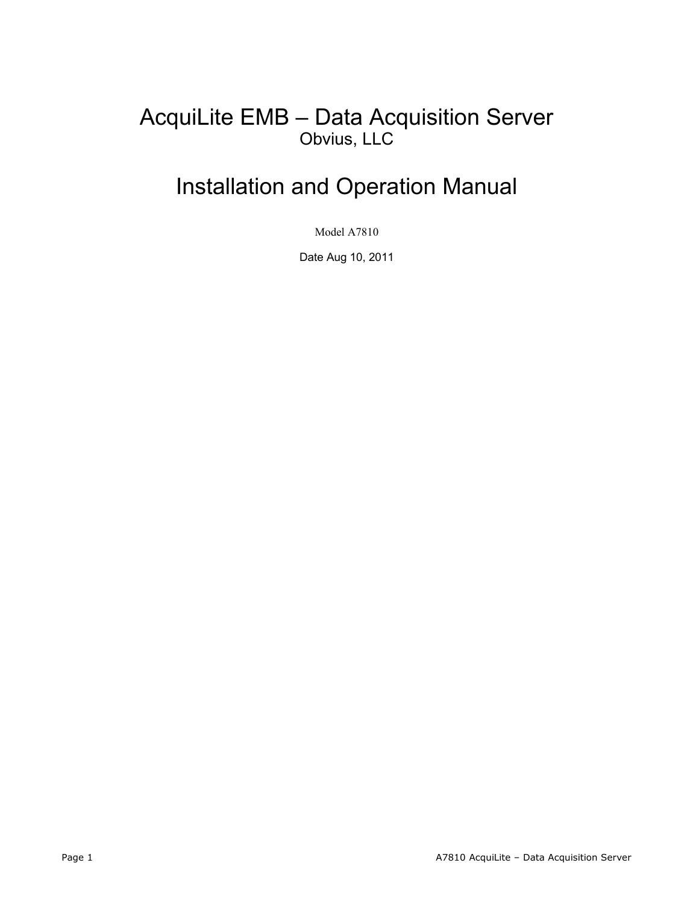# AcquiLite EMB – Data Acquisition Server Obvius, LLC

# Installation and Operation Manual

Model A7810

Date Aug 10, 2011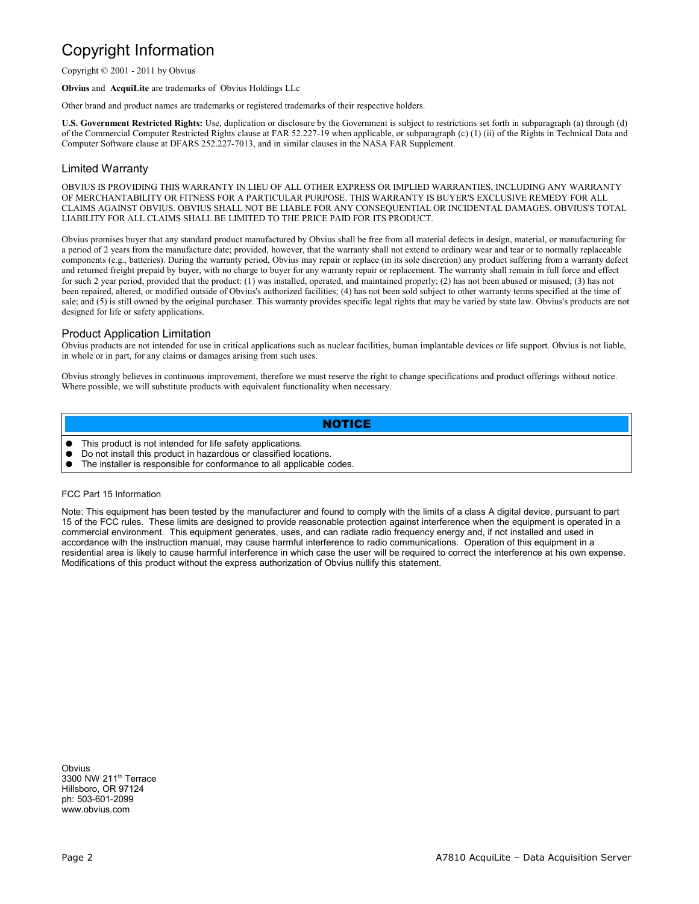#### Copyright Information

Copyright © 2001 - 2011 by Obvius

**Obvius** and **AcquiLite** are trademarks of Obvius Holdings LLc

Other brand and product names are trademarks or registered trademarks of their respective holders.

**U.S. Government Restricted Rights:** Use, duplication or disclosure by the Government is subject to restrictions set forth in subparagraph (a) through (d) of the Commercial Computer Restricted Rights clause at FAR 52.227-19 when applicable, or subparagraph (c) (1) (ii) of the Rights in Technical Data and Computer Software clause at DFARS 252.227-7013, and in similar clauses in the NASA FAR Supplement.

#### Limited Warranty

OBVIUS IS PROVIDING THIS WARRANTY IN LIEU OF ALL OTHER EXPRESS OR IMPLIED WARRANTIES, INCLUDING ANY WARRANTY OF MERCHANTABILITY OR FITNESS FOR A PARTICULAR PURPOSE. THIS WARRANTY IS BUYER'S EXCLUSIVE REMEDY FOR ALL CLAIMS AGAINST OBVIUS. OBVIUS SHALL NOT BE LIABLE FOR ANY CONSEQUENTIAL OR INCIDENTAL DAMAGES. OBVIUS'S TOTAL LIABILITY FOR ALL CLAIMS SHALL BE LIMITED TO THE PRICE PAID FOR ITS PRODUCT.

Obvius promises buyer that any standard product manufactured by Obvius shall be free from all material defects in design, material, or manufacturing for a period of 2 years from the manufacture date; provided, however, that the warranty shall not extend to ordinary wear and tear or to normally replaceable components (e.g., batteries). During the warranty period, Obvius may repair or replace (in its sole discretion) any product suffering from a warranty defect and returned freight prepaid by buyer, with no charge to buyer for any warranty repair or replacement. The warranty shall remain in full force and effect for such 2 year period, provided that the product: (1) was installed, operated, and maintained properly; (2) has not been abused or misused; (3) has not been repaired, altered, or modified outside of Obvius's authorized facilities; (4) has not been sold subject to other warranty terms specified at the time of sale; and (5) is still owned by the original purchaser. This warranty provides specific legal rights that may be varied by state law. Obvius's products are not designed for life or safety applications.

#### Product Application Limitation

Obvius products are not intended for use in critical applications such as nuclear facilities, human implantable devices or life support. Obvius is not liable, in whole or in part, for any claims or damages arising from such uses.

Obvius strongly believes in continuous improvement, therefore we must reserve the right to change specifications and product offerings without notice. Where possible, we will substitute products with equivalent functionality when necessary.

#### **NOTICE**

- This product is not intended for life safety applications.
- Do not install this product in hazardous or classified locations.
- The installer is responsible for conformance to all applicable codes.

#### FCC Part 15 Information

Note: This equipment has been tested by the manufacturer and found to comply with the limits of a class A digital device, pursuant to part 15 of the FCC rules. These limits are designed to provide reasonable protection against interference when the equipment is operated in a commercial environment. This equipment generates, uses, and can radiate radio frequency energy and, if not installed and used in accordance with the instruction manual, may cause harmful interference to radio communications. Operation of this equipment in a residential area is likely to cause harmful interference in which case the user will be required to correct the interference at his own expense. Modifications of this product without the express authorization of Obvius nullify this statement.

**Obvius** 3300 NW 211<sup>th</sup> Terrace Hillsboro, OR 97124 ph: 503-601-2099 www.obvius.com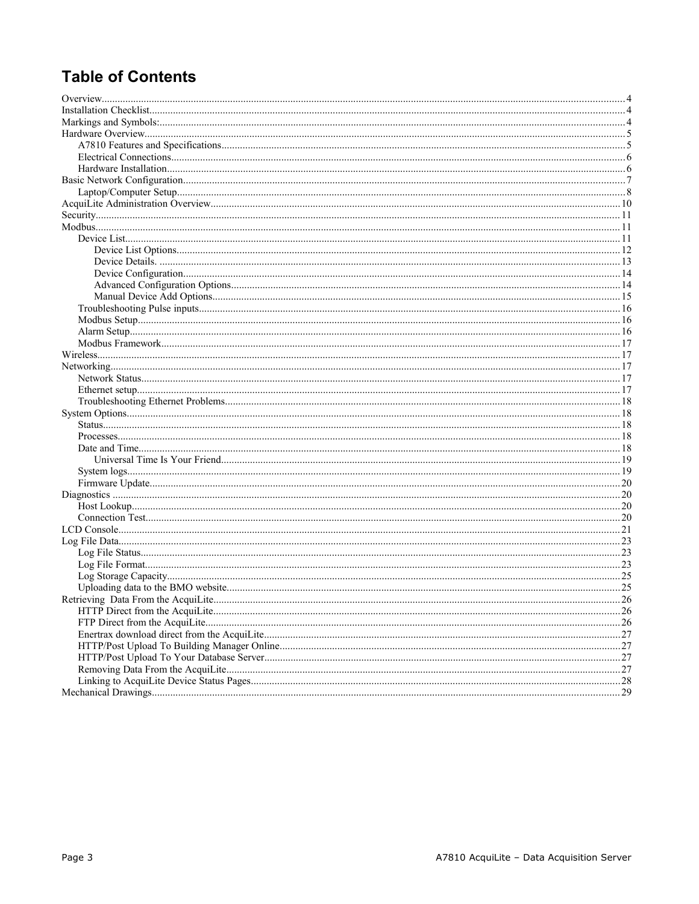## **Table of Contents**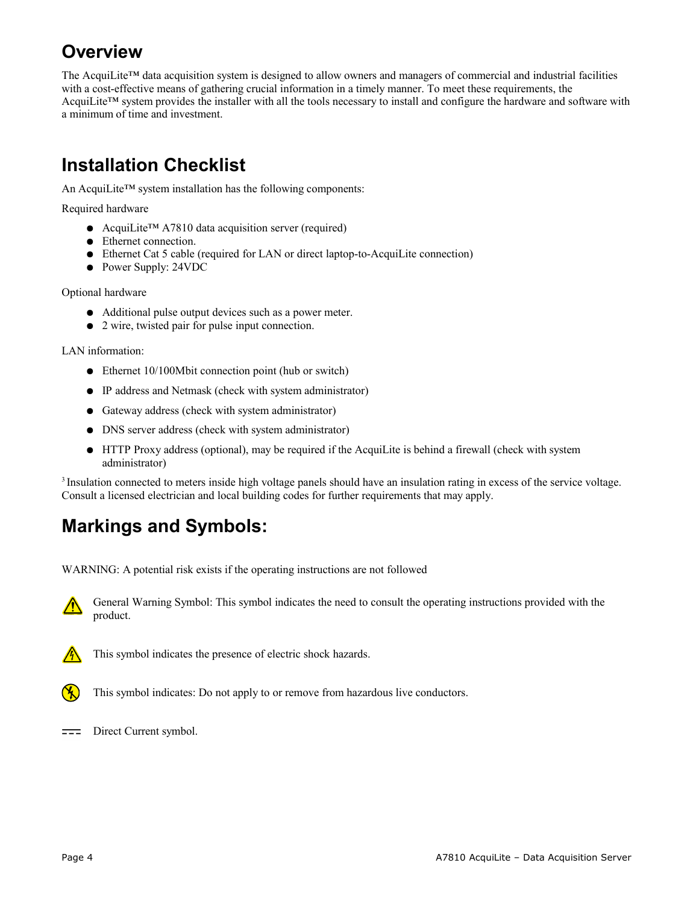# **Overview**

The AcquiLite™ data acquisition system is designed to allow owners and managers of commercial and industrial facilities with a cost-effective means of gathering crucial information in a timely manner. To meet these requirements, the AcquiLite™ system provides the installer with all the tools necessary to install and configure the hardware and software with a minimum of time and investment.

# **Installation Checklist**

An AcquiLite™ system installation has the following components:

Required hardware

- AcquiLite<sup>™</sup> A7810 data acquisition server (required)
- Ethernet connection.
- Ethernet Cat 5 cable (required for LAN or direct laptop-to-AcquiLite connection)
- Power Supply: 24VDC

Optional hardware

- Additional pulse output devices such as a power meter.
- 2 wire, twisted pair for pulse input connection.

LAN information:

- Ethernet 10/100Mbit connection point (hub or switch)
- IP address and Netmask (check with system administrator)
- Gateway address (check with system administrator)
- DNS server address (check with system administrator)
- HTTP Proxy address (optional), may be required if the AcquiLite is behind a firewall (check with system administrator)

<sup>3</sup> Insulation connected to meters inside high voltage panels should have an insulation rating in excess of the service voltage. Consult a licensed electrician and local building codes for further requirements that may apply.

# **Markings and Symbols:**

WARNING: A potential risk exists if the operating instructions are not followed





This symbol indicates the presence of electric shock hazards.



This symbol indicates: Do not apply to or remove from hazardous live conductors.

 $\equiv$  Direct Current symbol.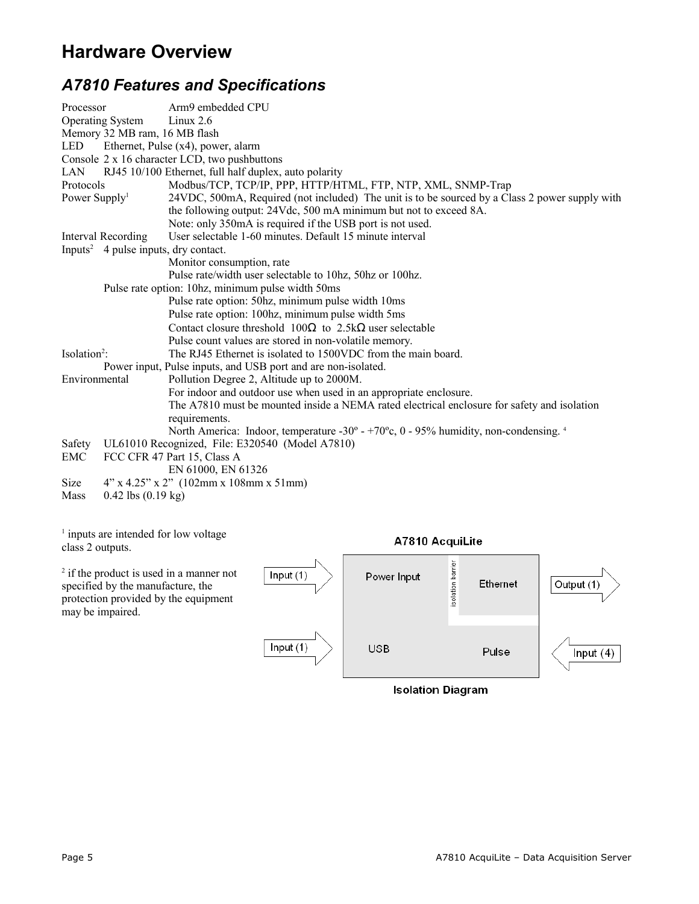## **Hardware Overview**

## *A7810 Features and Specifications*

| Processor                 |                                                  | Arm9 embedded CPU                                                                              |
|---------------------------|--------------------------------------------------|------------------------------------------------------------------------------------------------|
|                           | <b>Operating System</b>                          | Linux $2.6$                                                                                    |
|                           | Memory 32 MB ram, 16 MB flash                    |                                                                                                |
| LED                       |                                                  | Ethernet, Pulse (x4), power, alarm                                                             |
|                           |                                                  | Console 2 x 16 character LCD, two pushbuttons                                                  |
| LAN                       |                                                  | RJ45 10/100 Ethernet, full half duplex, auto polarity                                          |
| Protocols                 |                                                  | Modbus/TCP, TCP/IP, PPP, HTTP/HTML, FTP, NTP, XML, SNMP-Trap                                   |
| Power Supply <sup>1</sup> |                                                  | 24VDC, 500mA, Required (not included) The unit is to be sourced by a Class 2 power supply with |
|                           |                                                  | the following output: 24Vdc, 500 mA minimum but not to exceed 8A.                              |
|                           |                                                  | Note: only 350mA is required if the USB port is not used.                                      |
|                           | <b>Interval Recording</b>                        | User selectable 1-60 minutes. Default 15 minute interval                                       |
|                           | Inputs <sup>2</sup> 4 pulse inputs, dry contact. |                                                                                                |
|                           |                                                  | Monitor consumption, rate                                                                      |
|                           |                                                  | Pulse rate/width user selectable to 10hz, 50hz or 100hz.                                       |
|                           |                                                  | Pulse rate option: 10hz, minimum pulse width 50ms                                              |
|                           |                                                  | Pulse rate option: 50hz, minimum pulse width 10ms                                              |
|                           |                                                  | Pulse rate option: 100hz, minimum pulse width 5ms                                              |
|                           |                                                  | Contact closure threshold $100\Omega$ to $2.5k\Omega$ user selectable                          |
|                           |                                                  | Pulse count values are stored in non-volatile memory.                                          |
| Isolation <sup>2</sup> :  |                                                  | The RJ45 Ethernet is isolated to 1500VDC from the main board.                                  |
|                           |                                                  | Power input, Pulse inputs, and USB port and are non-isolated.                                  |
| Environmental             |                                                  | Pollution Degree 2, Altitude up to 2000M.                                                      |
|                           |                                                  | For indoor and outdoor use when used in an appropriate enclosure.                              |
|                           |                                                  | The A7810 must be mounted inside a NEMA rated electrical enclosure for safety and isolation    |
|                           |                                                  | requirements.                                                                                  |
|                           |                                                  | North America: Indoor, temperature -30° - +70°c, 0 - 95% humidity, non-condensing. 4           |
| Safety                    |                                                  | UL61010 Recognized, File: E320540 (Model A7810)                                                |
| EMC                       |                                                  | FCC CFR 47 Part 15, Class A                                                                    |
|                           |                                                  | EN 61000, EN 61326                                                                             |
| Size                      |                                                  | $4"$ x 4.25" x 2" (102mm x 108mm x 51mm)                                                       |
| Mass                      | $0.42$ lbs $(0.19 \text{ kg})$                   |                                                                                                |

<sup>1</sup> inputs are intended for low voltage A7810 AcquiLite class 2 outputs. isolation barrier <sup>2</sup> if the product is used in a manner not Input  $(1)$ Power Input Ethernet Output (1) specified by the manufacture, the protection provided by the equipment may be impaired. Input  $(1)$ **USB** Pulse Input  $(4)$ **Isolation Diagram**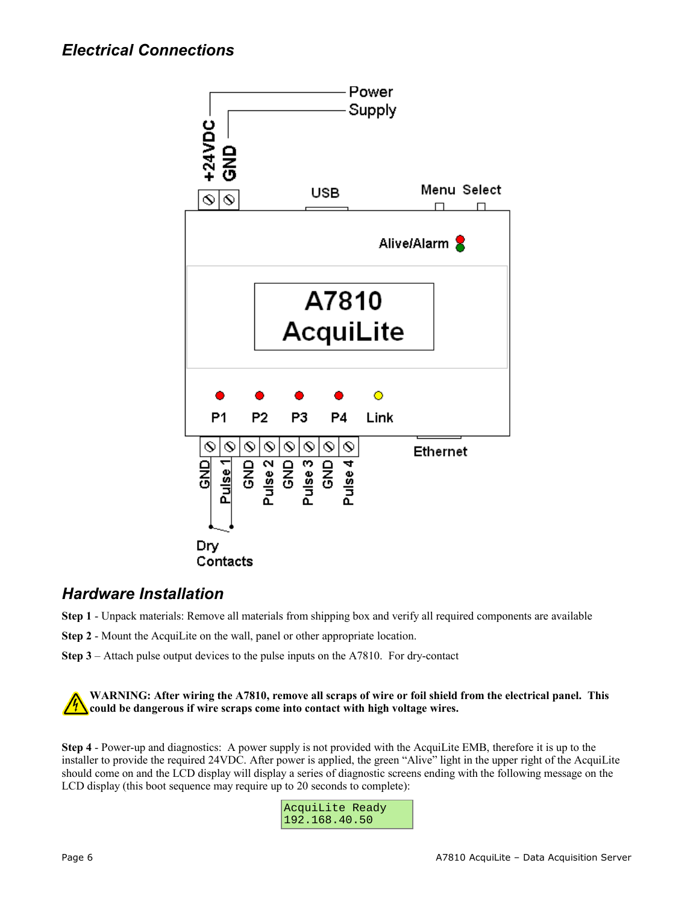

#### *Hardware Installation*

- **Step 1** Unpack materials: Remove all materials from shipping box and verify all required components are available
- **Step 2** Mount the AcquiLite on the wall, panel or other appropriate location.
- **Step 3** Attach pulse output devices to the pulse inputs on the A7810. For dry-contact

**WARNING: After wiring the A7810, remove all scraps of wire or foil shield from the electrical panel. This could be dangerous if wire scraps come into contact with high voltage wires.**

**Step 4** - Power-up and diagnostics: A power supply is not provided with the AcquiLite EMB, therefore it is up to the installer to provide the required 24VDC. After power is applied, the green "Alive" light in the upper right of the AcquiLite should come on and the LCD display will display a series of diagnostic screens ending with the following message on the LCD display (this boot sequence may require up to 20 seconds to complete):

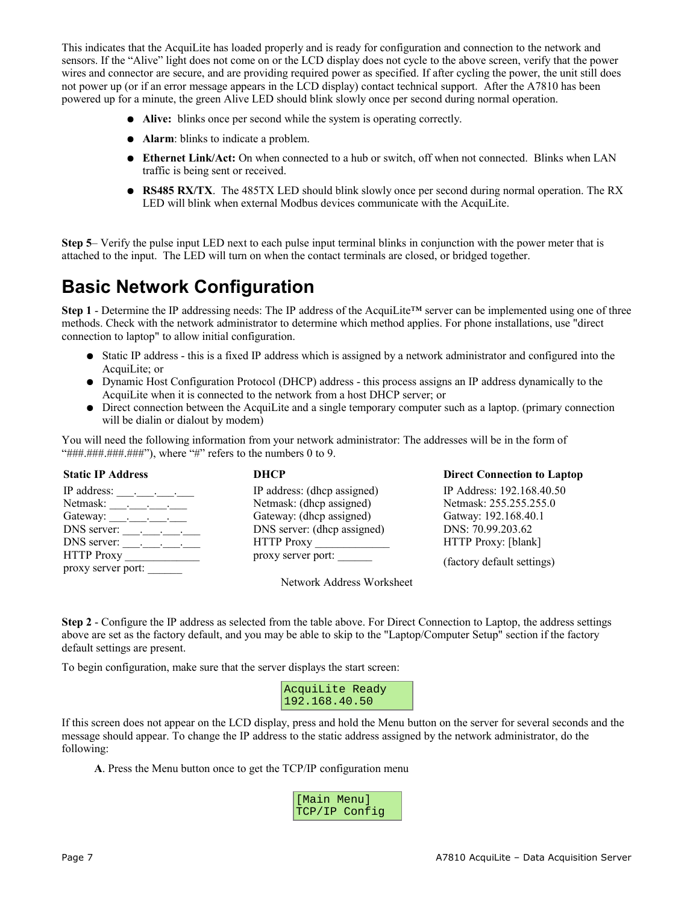This indicates that the AcquiLite has loaded properly and is ready for configuration and connection to the network and sensors. If the "Alive" light does not come on or the LCD display does not cycle to the above screen, verify that the power wires and connector are secure, and are providing required power as specified. If after cycling the power, the unit still does not power up (or if an error message appears in the LCD display) contact technical support. After the A7810 has been powered up for a minute, the green Alive LED should blink slowly once per second during normal operation.

- **Alive:** blinks once per second while the system is operating correctly.
- **Alarm**: blinks to indicate a problem.
- **Ethernet Link/Act:** On when connected to a hub or switch, off when not connected. Blinks when LAN traffic is being sent or received.
- **RS485 RX/TX**. The 485TX LED should blink slowly once per second during normal operation. The RX LED will blink when external Modbus devices communicate with the AcquiLite.

**Step 5**– Verify the pulse input LED next to each pulse input terminal blinks in conjunction with the power meter that is attached to the input. The LED will turn on when the contact terminals are closed, or bridged together.

## **Basic Network Configuration**

**Step 1** - Determine the IP addressing needs: The IP address of the AcquiLite™ server can be implemented using one of three methods. Check with the network administrator to determine which method applies. For phone installations, use "direct connection to laptop" to allow initial configuration.

- Static IP address this is a fixed IP address which is assigned by a network administrator and configured into the AcquiLite; or
- Dynamic Host Configuration Protocol (DHCP) address this process assigns an IP address dynamically to the AcquiLite when it is connected to the network from a host DHCP server; or
- Direct connection between the AcquiLite and a single temporary computer such as a laptop. (primary connection will be dialin or dialout by modem)

You will need the following information from your network administrator: The addresses will be in the form of "###.###.###.###"), where "#" refers to the numbers 0 to 9.

| <b>Static IP Address</b>        | <b>DHCP</b>                 | <b>Direct Connection to Laptop</b> |
|---------------------------------|-----------------------------|------------------------------------|
|                                 | IP address: (dhcp assigned) | IP Address: 192.168.40.50          |
| Netmask: $\qquad \qquad \qquad$ | Netmask: (dhcp assigned)    | Netmask: 255.255.255.0             |
|                                 | Gateway: (dhep assigned)    | Gatway: 192.168.40.1               |
|                                 | DNS server: (dhcp assigned) | DNS: 70.99.203.62                  |
|                                 | HTTP Proxy                  | HTTP Proxy: [blank]                |
| HTTP Proxy                      | proxy server port:          | (factory default settings)         |
| proxy server port:              |                             |                                    |

Network Address Worksheet

**Step 2** - Configure the IP address as selected from the table above. For Direct Connection to Laptop, the address settings above are set as the factory default, and you may be able to skip to the "Laptop/Computer Setup" section if the factory default settings are present.

To begin configuration, make sure that the server displays the start screen:

| AcquiLite Ready |  |
|-----------------|--|
| 192.168.40.50   |  |

If this screen does not appear on the LCD display, press and hold the Menu button on the server for several seconds and the message should appear. To change the IP address to the static address assigned by the network administrator, do the following:

**A**. Press the Menu button once to get the TCP/IP configuration menu

| [Main Menul |               |
|-------------|---------------|
|             | TCP/IP Confiq |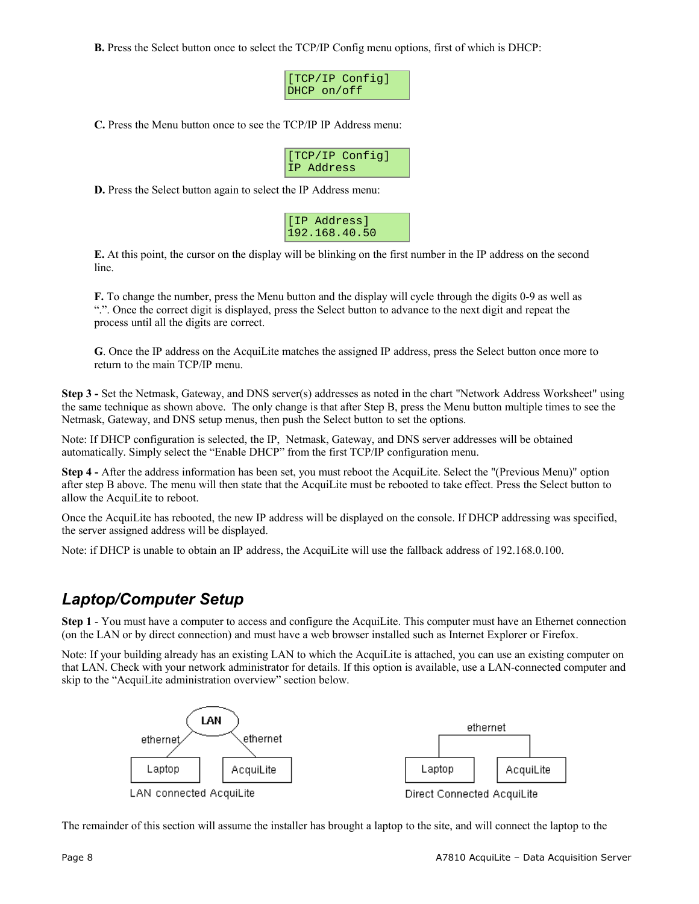**B.** Press the Select button once to select the TCP/IP Config menu options, first of which is DHCP:

| [[TCP/IP Config] |  |
|------------------|--|
| DHCP on/off      |  |

**C.** Press the Menu button once to see the TCP/IP IP Address menu:

|            | [[TCP/IP Config] |
|------------|------------------|
| IP Address |                  |

**D.** Press the Select button again to select the IP Address menu:

| [IP Address]  |
|---------------|
| 192.168.40.50 |

**E.** At this point, the cursor on the display will be blinking on the first number in the IP address on the second line.

**F.** To change the number, press the Menu button and the display will cycle through the digits 0-9 as well as ".". Once the correct digit is displayed, press the Select button to advance to the next digit and repeat the process until all the digits are correct.

**G**. Once the IP address on the AcquiLite matches the assigned IP address, press the Select button once more to return to the main TCP/IP menu.

**Step 3 -** Set the Netmask, Gateway, and DNS server(s) addresses as noted in the chart "Network Address Worksheet" using the same technique as shown above. The only change is that after Step B, press the Menu button multiple times to see the Netmask, Gateway, and DNS setup menus, then push the Select button to set the options.

Note: If DHCP configuration is selected, the IP, Netmask, Gateway, and DNS server addresses will be obtained automatically. Simply select the "Enable DHCP" from the first TCP/IP configuration menu.

**Step 4 -** After the address information has been set, you must reboot the AcquiLite. Select the "(Previous Menu)" option after step B above. The menu will then state that the AcquiLite must be rebooted to take effect. Press the Select button to allow the AcquiLite to reboot.

Once the AcquiLite has rebooted, the new IP address will be displayed on the console. If DHCP addressing was specified, the server assigned address will be displayed.

Note: if DHCP is unable to obtain an IP address, the AcquiLite will use the fallback address of 192.168.0.100.

#### *Laptop/Computer Setup*

**Step 1** - You must have a computer to access and configure the AcquiLite. This computer must have an Ethernet connection (on the LAN or by direct connection) and must have a web browser installed such as Internet Explorer or Firefox.

Note: If your building already has an existing LAN to which the AcquiLite is attached, you can use an existing computer on that LAN. Check with your network administrator for details. If this option is available, use a LAN-connected computer and skip to the "AcquiLite administration overview" section below.



The remainder of this section will assume the installer has brought a laptop to the site, and will connect the laptop to the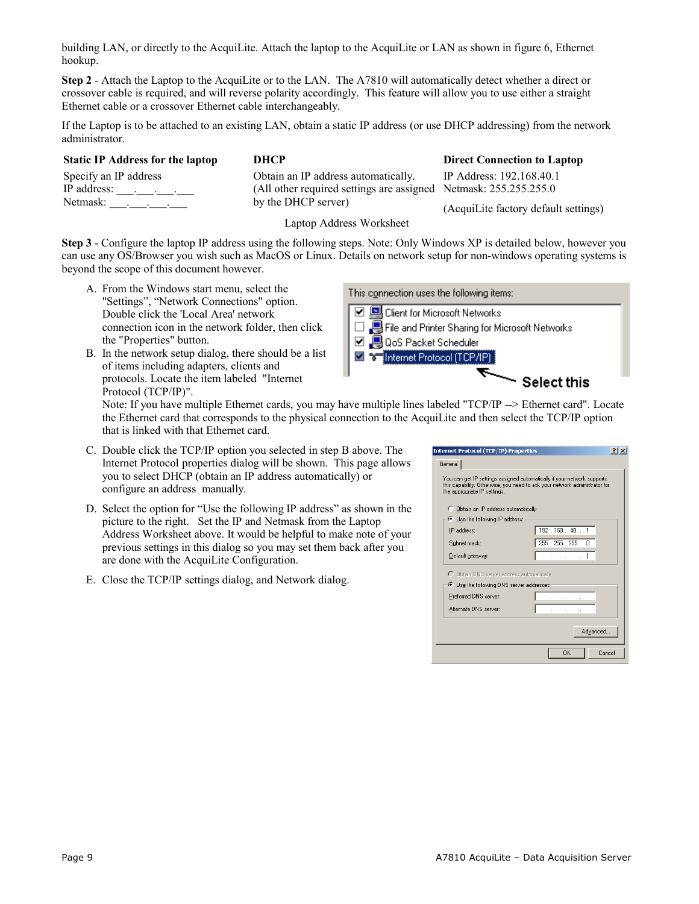building LAN, or directly to the AcquiLite. Attach the laptop to the AcquiLite or LAN as shown in figure 6, Ethernet hookup.

**Step 2** - Attach the Laptop to the AcquiLite or to the LAN. The A7810 will automatically detect whether a direct or crossover cable is required, and will reverse polarity accordingly. This feature will allow you to use either a straight Ethernet cable or a crossover Ethernet cable interchangeably.

If the Laptop is to be attached to an existing LAN, obtain a static IP address (or use DHCP addressing) from the network administrator.

**Static IP Address for the laptop DHCP Direct Connection to Laptop**

Specify an IP address IP address: \_\_\_.\_\_\_.\_\_\_.\_\_\_ Netmask: . . . . Obtain an IP address automatically. (All other required settings are assigned Netmask: 255.255.255.0 by the DHCP server)

IP Address: 192.168.40.1

(AcquiLite factory default settings)

Laptop Address Worksheet

**Step 3** - Configure the laptop IP address using the following steps. Note: Only Windows XP is detailed below, however you can use any OS/Browser you wish such as MacOS or Linux. Details on network setup for non-windows operating systems is beyond the scope of this document however.

- A. From the Windows start menu, select the "Settings", "Network Connections" option. Double click the 'Local Area' network connection icon in the network folder, then click the "Properties" button.
- B. In the network setup dialog, there should be a list of items including adapters, clients and protocols. Locate the item labeled "Internet Protocol (TCP/IP)".

This connection uses the following items:



Note: If you have multiple Ethernet cards, you may have multiple lines labeled "TCP/IP --> Ethernet card". Locate the Ethernet card that corresponds to the physical connection to the AcquiLite and then select the TCP/IP option that is linked with that Ethernet card.

- C. Double click the TCP/IP option you selected in step B above. The Internet Protocol properties dialog will be shown. This page allows you to select DHCP (obtain an IP address automatically) or configure an address manually.
- D. Select the option for "Use the following IP address" as shown in the picture to the right. Set the IP and Netmask from the Laptop Address Worksheet above. It would be helpful to make note of your previous settings in this dialog so you may set them back after you are done with the AcquiLite Configuration.
- E. Close the TCP/IP settings dialog, and Network dialog.

| General                                   |                                                                                                                                                       |
|-------------------------------------------|-------------------------------------------------------------------------------------------------------------------------------------------------------|
| the appropriate IP settings.              | You can get IP settings assigned automatically if your network supports<br>this capability. Otherwise, you need to ask your network administrator for |
| C Obtain an IP address automatically      |                                                                                                                                                       |
| C Use the following IP address:           |                                                                                                                                                       |
| IP address:                               | 192.168.40.1                                                                                                                                          |
| Subnet mask:                              | 255.255.255.0                                                                                                                                         |
| Default gateway:                          |                                                                                                                                                       |
| C Obtain DNS server address automatically |                                                                                                                                                       |
| ⊙ Use the following DNS server addresses: |                                                                                                                                                       |
| Preferred DNS server:                     |                                                                                                                                                       |
| Alternate DNS server:                     |                                                                                                                                                       |
|                                           | Advanced                                                                                                                                              |
|                                           | 0K<br>Cancel                                                                                                                                          |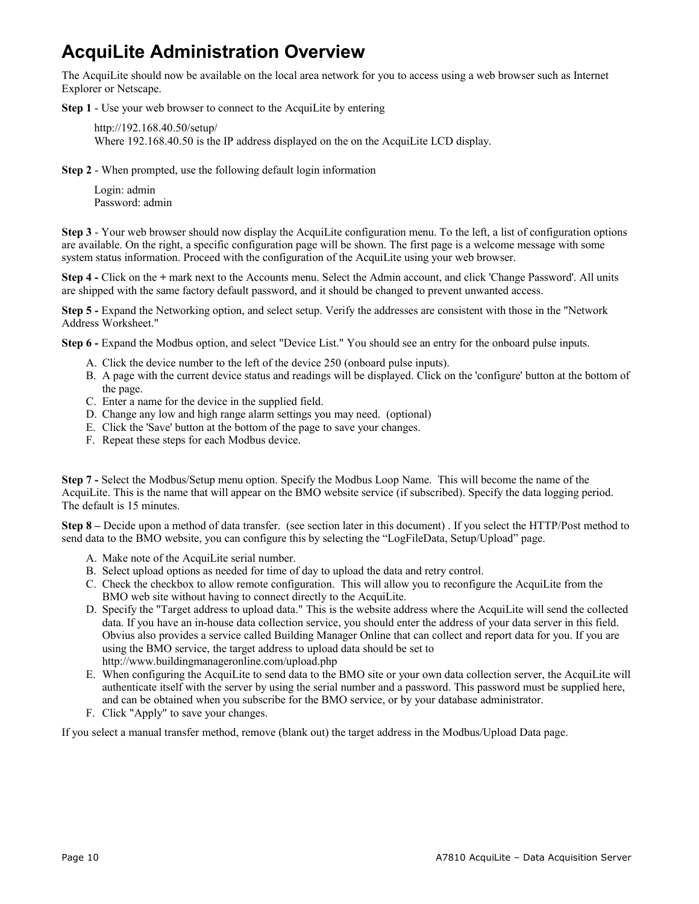## **AcquiLite Administration Overview**

The AcquiLite should now be available on the local area network for you to access using a web browser such as Internet Explorer or Netscape.

**Step 1** - Use your web browser to connect to the AcquiLite by entering

http://192.168.40.50/setup/ Where 192.168.40.50 is the IP address displayed on the on the AcquiLite LCD display.

**Step 2** - When prompted, use the following default login information

Login: admin Password: admin

**Step 3** - Your web browser should now display the AcquiLite configuration menu. To the left, a list of configuration options are available. On the right, a specific configuration page will be shown. The first page is a welcome message with some system status information. Proceed with the configuration of the AcquiLite using your web browser.

**Step 4 -** Click on the **+** mark next to the Accounts menu. Select the Admin account, and click 'Change Password'. All units are shipped with the same factory default password, and it should be changed to prevent unwanted access.

**Step 5 -** Expand the Networking option, and select setup. Verify the addresses are consistent with those in the "Network Address Worksheet."

**Step 6 -** Expand the Modbus option, and select "Device List." You should see an entry for the onboard pulse inputs.

- A. Click the device number to the left of the device 250 (onboard pulse inputs).
- B. A page with the current device status and readings will be displayed. Click on the 'configure' button at the bottom of the page.
- C. Enter a name for the device in the supplied field.
- D. Change any low and high range alarm settings you may need. (optional)
- E. Click the 'Save' button at the bottom of the page to save your changes.
- F. Repeat these steps for each Modbus device.

**Step 7 -** Select the Modbus/Setup menu option. Specify the Modbus Loop Name. This will become the name of the AcquiLite. This is the name that will appear on the BMO website service (if subscribed). Specify the data logging period. The default is 15 minutes.

**Step 8 –** Decide upon a method of data transfer. (see section later in this document) . If you select the HTTP/Post method to send data to the BMO website, you can configure this by selecting the "LogFileData, Setup/Upload" page.

- A. Make note of the AcquiLite serial number.
- B. Select upload options as needed for time of day to upload the data and retry control.
- C. Check the checkbox to allow remote configuration. This will allow you to reconfigure the AcquiLite from the BMO web site without having to connect directly to the AcquiLite.
- D. Specify the "Target address to upload data." This is the website address where the AcquiLite will send the collected data. If you have an in-house data collection service, you should enter the address of your data server in this field. Obvius also provides a service called Building Manager Online that can collect and report data for you. If you are using the BMO service, the target address to upload data should be set to http://www.buildingmanageronline.com/upload.php
- E. When configuring the AcquiLite to send data to the BMO site or your own data collection server, the AcquiLite will authenticate itself with the server by using the serial number and a password. This password must be supplied here, and can be obtained when you subscribe for the BMO service, or by your database administrator.
- F. Click "Apply" to save your changes.

If you select a manual transfer method, remove (blank out) the target address in the Modbus/Upload Data page.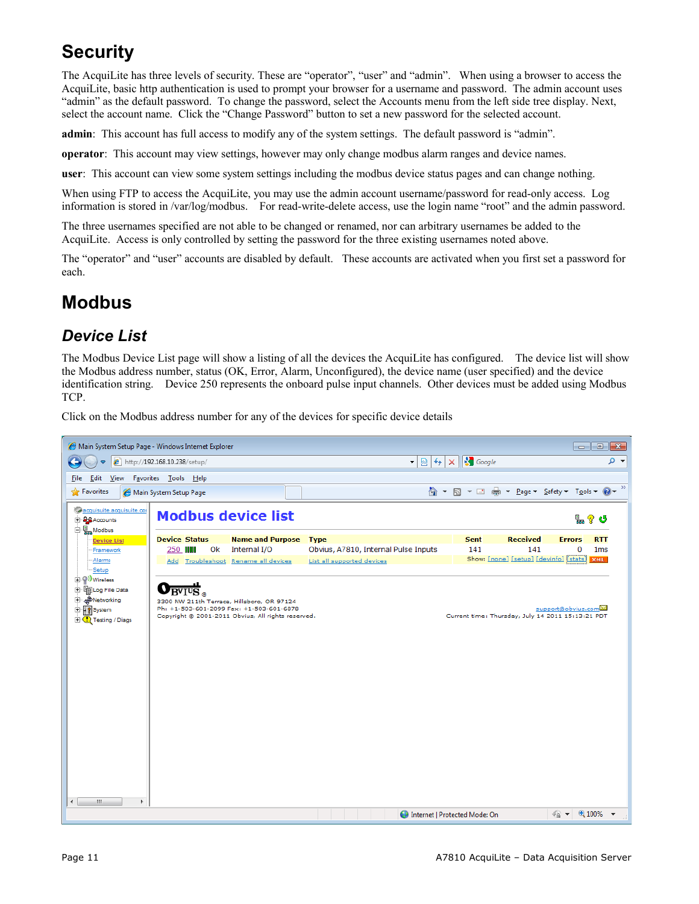# **Security**

The AcquiLite has three levels of security. These are "operator", "user" and "admin". When using a browser to access the AcquiLite, basic http authentication is used to prompt your browser for a username and password. The admin account uses "admin" as the default password. To change the password, select the Accounts menu from the left side tree display. Next, select the account name. Click the "Change Password" button to set a new password for the selected account.

**admin**: This account has full access to modify any of the system settings. The default password is "admin".

**operator**: This account may view settings, however may only change modbus alarm ranges and device names.

**user**: This account can view some system settings including the modbus device status pages and can change nothing.

When using FTP to access the AcquiLite, you may use the admin account username/password for read-only access. Log information is stored in /var/log/modbus. For read-write-delete access, use the login name "root" and the admin password.

The three usernames specified are not able to be changed or renamed, nor can arbitrary usernames be added to the AcquiLite. Access is only controlled by setting the password for the three existing usernames noted above.

The "operator" and "user" accounts are disabled by default. These accounts are activated when you first set a password for each.

## **Modbus**

#### *Device List*

The Modbus Device List page will show a listing of all the devices the AcquiLite has configured. The device list will show the Modbus address number, status (OK, Error, Alarm, Unconfigured), the device name (user specified) and the device identification string. Device 250 represents the onboard pulse input channels. Other devices must be added using Modbus TCP.

Click on the Modbus address number for any of the devices for specific device details

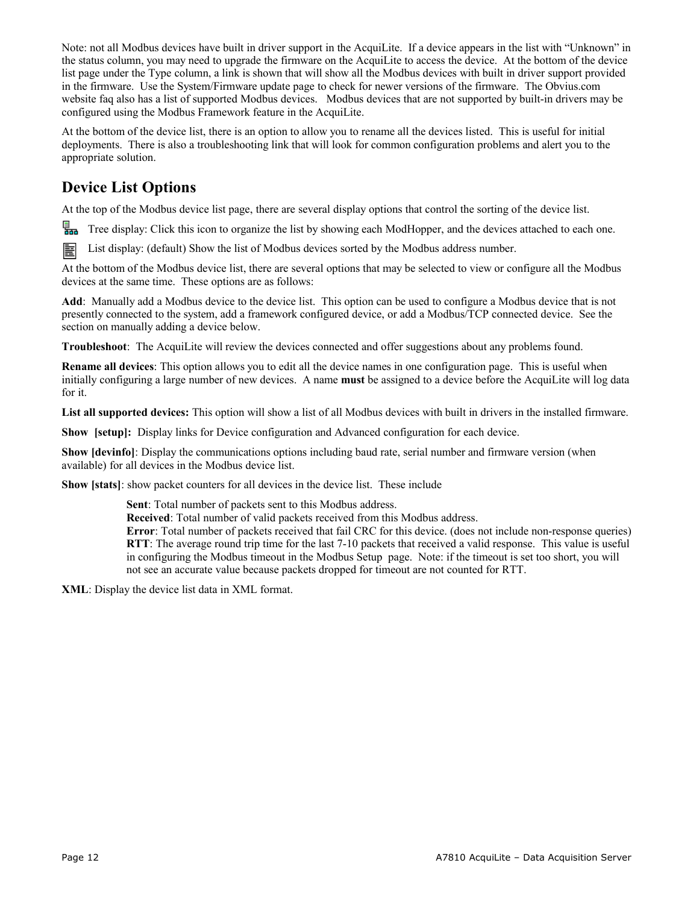Note: not all Modbus devices have built in driver support in the AcquiLite. If a device appears in the list with "Unknown" in the status column, you may need to upgrade the firmware on the AcquiLite to access the device. At the bottom of the device list page under the Type column, a link is shown that will show all the Modbus devices with built in driver support provided in the firmware. Use the System/Firmware update page to check for newer versions of the firmware. The Obvius.com website faq also has a list of supported Modbus devices. Modbus devices that are not supported by built-in drivers may be configured using the Modbus Framework feature in the AcquiLite.

At the bottom of the device list, there is an option to allow you to rename all the devices listed. This is useful for initial deployments. There is also a troubleshooting link that will look for common configuration problems and alert you to the appropriate solution.

#### **Device List Options**

At the top of the Modbus device list page, there are several display options that control the sorting of the device list.

Tree display: Click this icon to organize the list by showing each ModHopper, and the devices attached to each one.

圉 List display: (default) Show the list of Modbus devices sorted by the Modbus address number.

At the bottom of the Modbus device list, there are several options that may be selected to view or configure all the Modbus devices at the same time. These options are as follows:

**Add**: Manually add a Modbus device to the device list. This option can be used to configure a Modbus device that is not presently connected to the system, add a framework configured device, or add a Modbus/TCP connected device. See the section on manually adding a device below.

**Troubleshoot**: The AcquiLite will review the devices connected and offer suggestions about any problems found.

**Rename all devices**: This option allows you to edit all the device names in one configuration page. This is useful when initially configuring a large number of new devices. A name **must** be assigned to a device before the AcquiLite will log data for it.

**List all supported devices:** This option will show a list of all Modbus devices with built in drivers in the installed firmware.

**Show [setup]:** Display links for Device configuration and Advanced configuration for each device.

**Show [devinfo]**: Display the communications options including baud rate, serial number and firmware version (when available) for all devices in the Modbus device list.

**Show [stats]**: show packet counters for all devices in the device list. These include

**Sent**: Total number of packets sent to this Modbus address.

**Received**: Total number of valid packets received from this Modbus address.

**Error**: Total number of packets received that fail CRC for this device. (does not include non-response queries) **RTT**: The average round trip time for the last 7-10 packets that received a valid response. This value is useful in configuring the Modbus timeout in the Modbus Setup page. Note: if the timeout is set too short, you will not see an accurate value because packets dropped for timeout are not counted for RTT.

**XML**: Display the device list data in XML format.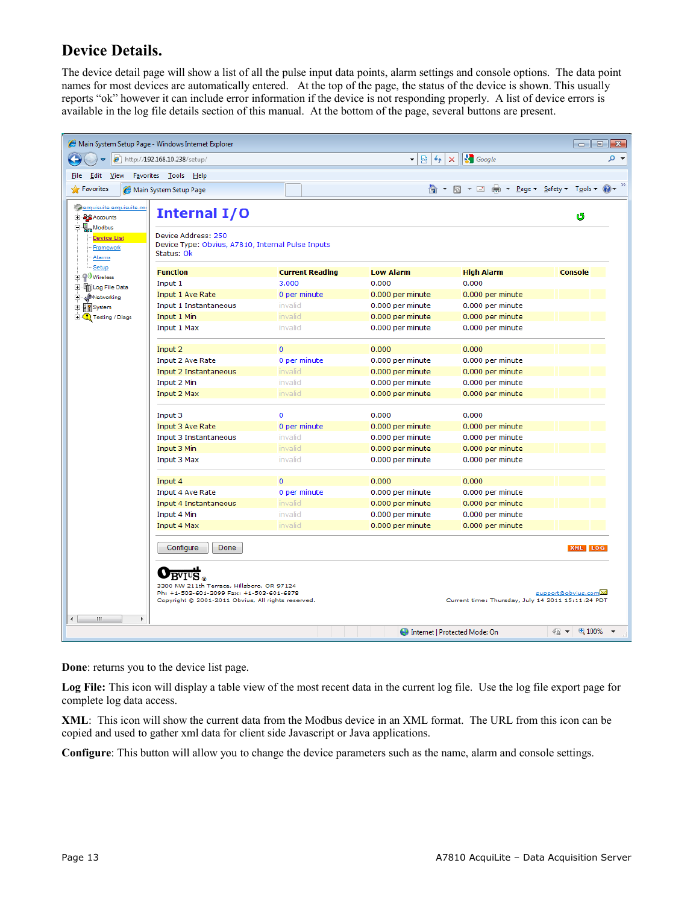#### **Device Details.**

The device detail page will show a list of all the pulse input data points, alarm settings and console options. The data point names for most devices are automatically entered. At the top of the page, the status of the device is shown. This usually reports "ok" however it can include error information if the device is not responding properly. A list of device errors is available in the log file details section of this manual. At the bottom of the page, several buttons are present.

| Main System Setup Page - Windows Internet Explorer                                                                                     |                                                                                                                                                                                           |                        |                  |                                                   |                                                     |
|----------------------------------------------------------------------------------------------------------------------------------------|-------------------------------------------------------------------------------------------------------------------------------------------------------------------------------------------|------------------------|------------------|---------------------------------------------------|-----------------------------------------------------|
| $\mathbf{v} \otimes \mathbf{t}$ $\mathbf{v} \otimes \mathbf{t}$ $\mathbf{v}$ $\otimes$ Google<br><b>e</b> http://192.168.10.238/setup/ |                                                                                                                                                                                           |                        |                  | - م                                               |                                                     |
| Edit View<br>Favorites Tools Help<br><b>File</b>                                                                                       |                                                                                                                                                                                           |                        |                  |                                                   |                                                     |
| <b>Favorites</b>                                                                                                                       | Main System Setup Page                                                                                                                                                                    |                        |                  |                                                   |                                                     |
| acquisuite.acquisuite.co<br>E 20 Accounts<br>白· <b>喝m</b> Modbus<br><b>Device List</b>                                                 | <b>Internal I/O</b><br>Device Address: 250                                                                                                                                                |                        |                  |                                                   | త                                                   |
| Framework<br>Alarms                                                                                                                    | Device Type: Obvius, A7810, Internal Pulse Inputs<br>Status: Ok                                                                                                                           |                        |                  |                                                   |                                                     |
| Setup<br>由· Wireless                                                                                                                   | <b>Function</b>                                                                                                                                                                           | <b>Current Reading</b> | <b>Low Alarm</b> | <b>High Alarm</b>                                 | <b>Console</b>                                      |
| 由 in Log File Data                                                                                                                     | Input 1                                                                                                                                                                                   | 3.000                  | 0.000            | 0.000                                             |                                                     |
| <b>E</b> em Networking                                                                                                                 | Input 1 Ave Rate                                                                                                                                                                          | 0 per minute           | 0.000 per minute | 0.000 per minute                                  |                                                     |
| E PSystem                                                                                                                              | Input 1 Instantaneous                                                                                                                                                                     | invalid                | 0.000 per minute | 0.000 per minute                                  |                                                     |
| <b>E</b> C Testing / Diags                                                                                                             | Input 1 Min                                                                                                                                                                               | invalid                | 0.000 per minute | 0.000 per minute                                  |                                                     |
|                                                                                                                                        | Input 1 Max                                                                                                                                                                               | invalid                | 0.000 per minute | 0.000 per minute                                  |                                                     |
|                                                                                                                                        | Input 2                                                                                                                                                                                   | $\Omega$               | 0.000            | 0.000                                             |                                                     |
|                                                                                                                                        | Input 2 Ave Rate                                                                                                                                                                          | 0 per minute           | 0.000 per minute | 0.000 per minute                                  |                                                     |
|                                                                                                                                        | Input 2 Instantaneous                                                                                                                                                                     | invalid                | 0.000 per minute | 0.000 per minute                                  |                                                     |
|                                                                                                                                        | Input 2 Min                                                                                                                                                                               | invalid                | 0.000 per minute | 0.000 per minute                                  |                                                     |
|                                                                                                                                        | Input 2 Max                                                                                                                                                                               | invalid                | 0.000 per minute | 0.000 per minute                                  |                                                     |
|                                                                                                                                        | Input 3                                                                                                                                                                                   | $\mathbf 0$            | 0.000            | 0.000                                             |                                                     |
|                                                                                                                                        | Input 3 Ave Rate                                                                                                                                                                          | 0 per minute           | 0.000 per minute | 0.000 per minute                                  |                                                     |
|                                                                                                                                        | Input 3 Instantaneous                                                                                                                                                                     | invalid                | 0.000 per minute | 0.000 per minute                                  |                                                     |
|                                                                                                                                        | Input 3 Min                                                                                                                                                                               | invalid                | 0.000 per minute | 0.000 per minute                                  |                                                     |
|                                                                                                                                        | Input 3 Max                                                                                                                                                                               | invalid                | 0.000 per minute | 0.000 per minute                                  |                                                     |
|                                                                                                                                        |                                                                                                                                                                                           |                        |                  |                                                   |                                                     |
|                                                                                                                                        | Input 4                                                                                                                                                                                   | $\mathbf{O}$           | 0.000            | 0.000                                             |                                                     |
|                                                                                                                                        | Input 4 Ave Rate                                                                                                                                                                          | 0 per minute           | 0.000 per minute | 0.000 per minute                                  |                                                     |
|                                                                                                                                        | Input 4 Instantaneous                                                                                                                                                                     | invalid                | 0.000 per minute | 0.000 per minute                                  |                                                     |
|                                                                                                                                        | Input 4 Min                                                                                                                                                                               | invalid                | 0.000 per minute | 0.000 per minute                                  |                                                     |
|                                                                                                                                        | Input 4 Max                                                                                                                                                                               | invalid                | 0.000 per minute | 0.000 per minute                                  |                                                     |
|                                                                                                                                        | Done<br>Configure                                                                                                                                                                         |                        |                  |                                                   | XML LOG                                             |
|                                                                                                                                        | $\overline{\mathrm{BVI^{U}S}}$ $_{\circ}$<br>3300 NW 211th Terrace, Hillsboro, OR 97124<br>Ph: +1-503-601-2099 Fax: +1-503-601-6878<br>Copyright @ 2001-2011 Obvius, All rights reserved. |                        |                  | Current time: Thursday, July 14 2011 15:11:24 PDT | support@obvius.com                                  |
| W.<br>Þ.<br>$\leftarrow$                                                                                                               |                                                                                                                                                                                           |                        |                  | Internet   Protected Mode: On                     | $\frac{1}{2}$ $\sqrt{2}$ $\sqrt{2}$ 100% $\sqrt{2}$ |

**Done**: returns you to the device list page.

Log File: This icon will display a table view of the most recent data in the current log file. Use the log file export page for complete log data access.

**XML**: This icon will show the current data from the Modbus device in an XML format. The URL from this icon can be copied and used to gather xml data for client side Javascript or Java applications.

**Configure**: This button will allow you to change the device parameters such as the name, alarm and console settings.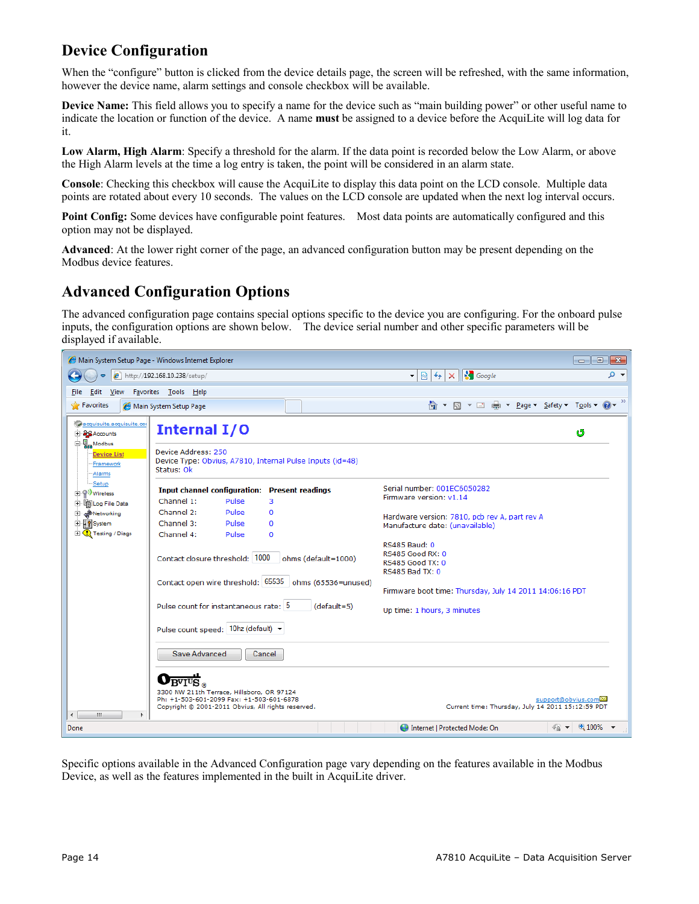#### **Device Configuration**

When the "configure" button is clicked from the device details page, the screen will be refreshed, with the same information, however the device name, alarm settings and console checkbox will be available.

**Device Name:** This field allows you to specify a name for the device such as "main building power" or other useful name to indicate the location or function of the device. A name **must** be assigned to a device before the AcquiLite will log data for it.

**Low Alarm, High Alarm**: Specify a threshold for the alarm. If the data point is recorded below the Low Alarm, or above the High Alarm levels at the time a log entry is taken, the point will be considered in an alarm state.

**Console**: Checking this checkbox will cause the AcquiLite to display this data point on the LCD console. Multiple data points are rotated about every 10 seconds. The values on the LCD console are updated when the next log interval occurs.

**Point Config:** Some devices have configurable point features. Most data points are automatically configured and this option may not be displayed.

**Advanced**: At the lower right corner of the page, an advanced configuration button may be present depending on the Modbus device features.

#### **Advanced Configuration Options**

The advanced configuration page contains special options specific to the device you are configuring. For the onboard pulse inputs, the configuration options are shown below. The device serial number and other specific parameters will be displayed if available.

|                                                            | Main System Setup Page - Windows Internet Explorer                                                                                           | $\Box$ $\mathbf{x}$<br>$\Box$                                                                                             |  |  |
|------------------------------------------------------------|----------------------------------------------------------------------------------------------------------------------------------------------|---------------------------------------------------------------------------------------------------------------------------|--|--|
|                                                            | http://192.168.10.238/setup/                                                                                                                 | $\mathbb{R} \left  \left  \right  \right  \times \left  \left  \right  \right $ Google<br>- م<br>$\overline{\phantom{a}}$ |  |  |
| Edit<br>View<br>File                                       | F <u>a</u> vorites <u>T</u> ools <u>H</u> elp                                                                                                |                                                                                                                           |  |  |
| Pravorites                                                 | Main System Setup Page                                                                                                                       |                                                                                                                           |  |  |
| acquisuite.acquisuite.co<br>E <b>PO</b> Accounts           | Internal I/O                                                                                                                                 | త                                                                                                                         |  |  |
| 白· <b>唱</b> Modbus<br>Device List<br>Framework<br>·Alarms  | Device Address: 250<br>Device Type: Obvius, A7810, Internal Pulse Inputs (id=48)<br>Status: Ok                                               |                                                                                                                           |  |  |
| -Setup<br>由· <sup>(2)</sup> Wireless<br>中 TipLog File Data | <b>Input channel configuration: Present readings</b><br>Channel 1:<br>Pulse<br>3                                                             | Serial number: 001EC6050282<br>Firmware version: v1.14                                                                    |  |  |
| <b>E</b> a <sup>n</sup> Networking<br>E PSystem            | Channel 2:<br>Pulse<br>$\Omega$<br>Channel 3:<br>Pulse<br>$\mathbf 0$                                                                        | Hardware version: 7810, pcb rev A, part rev A<br>Manufacture date: (unavailable)                                          |  |  |
| <b>E</b> C Testing / Diags                                 | Channel 4:<br>Pulse<br>$\Omega$<br>Contact closure threshold: 1000<br>ohms (default=1000)                                                    | <b>RS485 Baud: 0</b><br><b>RS485 Good RX: 0</b><br><b>RS485 Good TX: 0</b><br><b>RS485 Bad TX: 0</b>                      |  |  |
|                                                            | Contact open wire threshold: 65535 ohms (65536=unused)                                                                                       | Firmware boot time: Thursday, July 14 2011 14:06:16 PDT                                                                   |  |  |
|                                                            | Pulse count for instantaneous rate: 5<br>$(default=5)$                                                                                       | Up time: 1 hours, 3 minutes                                                                                               |  |  |
|                                                            | Pulse count speed: 10hz (default) ▼                                                                                                          |                                                                                                                           |  |  |
|                                                            | Save Advanced<br>Cancel                                                                                                                      |                                                                                                                           |  |  |
| Ш<br>$\overline{ }$                                        | 3300 NW 211th Terrace, Hillsboro, OR 97124<br>Ph: +1-503-601-2099 Fax: +1-503-601-6878<br>Copyright © 2001-2011 Obvius, All rights reserved. | support@obvius.com<br>Current time: Thursday, July 14 2011 15:12:59 PDT                                                   |  |  |
| Done                                                       |                                                                                                                                              | $\star$ 0 100% $\star$<br><b>Confidence   Protected Mode: On</b>                                                          |  |  |

Specific options available in the Advanced Configuration page vary depending on the features available in the Modbus Device, as well as the features implemented in the built in AcquiLite driver.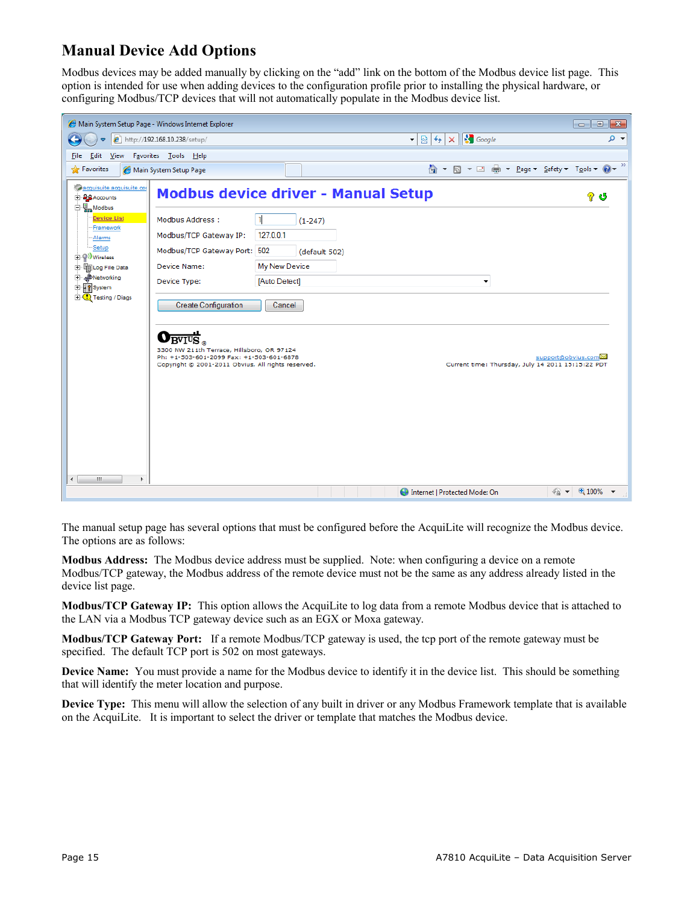#### **Manual Device Add Options**

Modbus devices may be added manually by clicking on the "add" link on the bottom of the Modbus device list page. This option is intended for use when adding devices to the configuration profile prior to installing the physical hardware, or configuring Modbus/TCP devices that will not automatically populate in the Modbus device list.

| Main System Setup Page - Windows Internet Explorer<br><u>- Ie</u><br>$\mathbf{x}$                                                                                                                                                                                                                                                                                               |                                                                                                                                                                                                                              |                |  |                                        |                                                   |                    |  |
|---------------------------------------------------------------------------------------------------------------------------------------------------------------------------------------------------------------------------------------------------------------------------------------------------------------------------------------------------------------------------------|------------------------------------------------------------------------------------------------------------------------------------------------------------------------------------------------------------------------------|----------------|--|----------------------------------------|---------------------------------------------------|--------------------|--|
| $\mathbf{r} \times \mathbf{R}$ $\mathbf{t}$ $\mathbf{t}$ $\mathbf{t}$ $\mathbf{t}$ $\mathbf{t}$ $\mathbf{t}$ $\mathbf{t}$ $\mathbf{t}$ $\mathbf{t}$ $\mathbf{t}$ $\mathbf{t}$ $\mathbf{t}$ $\mathbf{t}$ $\mathbf{t}$ $\mathbf{t}$ $\mathbf{t}$ $\mathbf{t}$ $\mathbf{t}$ $\mathbf{t}$ $\mathbf{t}$ $\mathbf{t}$ $\mathbf{t}$ $\mathbf{t$<br>- م<br>http://192.168.10.238/setup/ |                                                                                                                                                                                                                              |                |  |                                        |                                                   |                    |  |
| Favorites Tools Help<br>Edit<br>View<br>File                                                                                                                                                                                                                                                                                                                                    |                                                                                                                                                                                                                              |                |  |                                        |                                                   |                    |  |
| Favorites                                                                                                                                                                                                                                                                                                                                                                       | Main System Setup Page                                                                                                                                                                                                       |                |  |                                        |                                                   |                    |  |
| acquisuite.acquisuite.com<br>E <b>SORAccounts</b><br>白·H <sub>an</sub> Modbus                                                                                                                                                                                                                                                                                                   | <b>Modbus device driver - Manual Setup</b>                                                                                                                                                                                   |                |  |                                        |                                                   | ?<br>G             |  |
| Device List<br>Framework                                                                                                                                                                                                                                                                                                                                                        | Modbus Address:                                                                                                                                                                                                              | 1<br>$(1-247)$ |  |                                        |                                                   |                    |  |
| Alarms                                                                                                                                                                                                                                                                                                                                                                          | Modbus/TCP Gateway IP:                                                                                                                                                                                                       | 127.0.0.1      |  |                                        |                                                   |                    |  |
| -Setup<br>白·(?) Wireless                                                                                                                                                                                                                                                                                                                                                        | Modbus/TCP Gateway Port: 502                                                                                                                                                                                                 | (default 502)  |  |                                        |                                                   |                    |  |
| 中 TipLog File Data                                                                                                                                                                                                                                                                                                                                                              | Device Name:                                                                                                                                                                                                                 | My New Device  |  |                                        |                                                   |                    |  |
| <b>E</b> a <sup>n</sup> Networking<br>मं <mark>∦</mark> System                                                                                                                                                                                                                                                                                                                  | Device Type:                                                                                                                                                                                                                 | [Auto Detect]  |  |                                        | $\blacktriangledown$                              |                    |  |
| <b>E</b> C Testing / Diags                                                                                                                                                                                                                                                                                                                                                      | <b>Create Configuration</b>                                                                                                                                                                                                  | Cancel         |  |                                        |                                                   |                    |  |
| $\leftarrow$<br>ш<br>k                                                                                                                                                                                                                                                                                                                                                          | ο<br>$\overline{\mathrm{B}^{\mathrm{V}}\mathrm{I}^{\mathrm{U}}\mathrm{S}}$ .<br>3300 NW 211th Terrace, Hillsboro, OR 97124<br>Ph: +1-503-601-2099 Fax: +1-503-601-6878<br>Copyright @ 2001-2011 Obvius, All rights reserved. |                |  |                                        | Current time: Thursday, July 14 2011 15:15:22 PDT | support@obvius.com |  |
|                                                                                                                                                                                                                                                                                                                                                                                 |                                                                                                                                                                                                                              |                |  | <b>Confidence   Protected Mode: On</b> |                                                   | $R_{100\%}$        |  |

The manual setup page has several options that must be configured before the AcquiLite will recognize the Modbus device. The options are as follows:

**Modbus Address:** The Modbus device address must be supplied. Note: when configuring a device on a remote Modbus/TCP gateway, the Modbus address of the remote device must not be the same as any address already listed in the device list page.

**Modbus/TCP Gateway IP:** This option allows the AcquiLite to log data from a remote Modbus device that is attached to the LAN via a Modbus TCP gateway device such as an EGX or Moxa gateway.

**Modbus/TCP Gateway Port:** If a remote Modbus/TCP gateway is used, the tcp port of the remote gateway must be specified. The default TCP port is 502 on most gateways.

**Device Name:** You must provide a name for the Modbus device to identify it in the device list. This should be something that will identify the meter location and purpose.

**Device Type:** This menu will allow the selection of any built in driver or any Modbus Framework template that is available on the AcquiLite. It is important to select the driver or template that matches the Modbus device.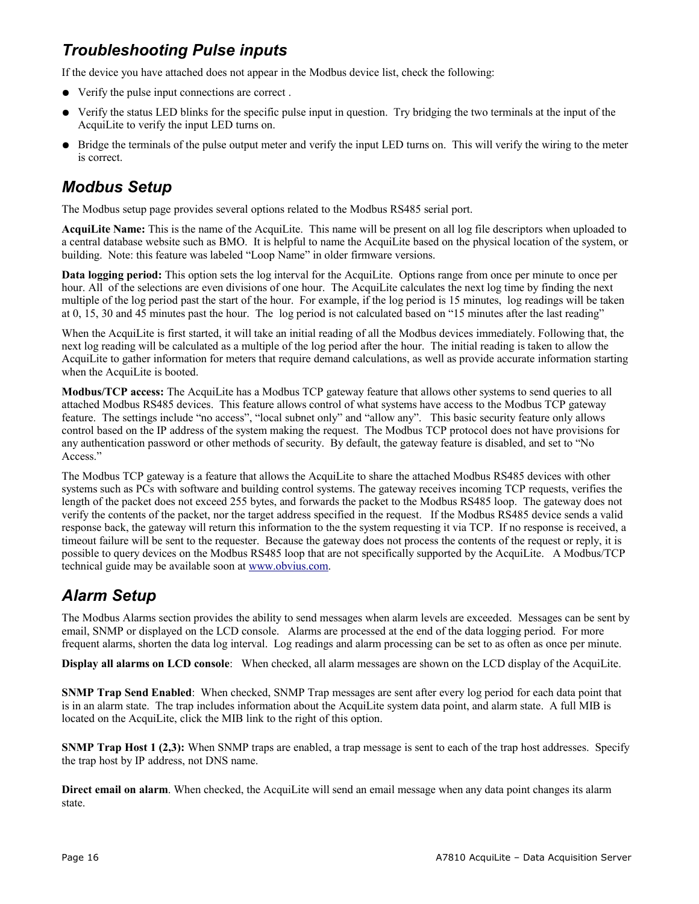### *Troubleshooting Pulse inputs*

If the device you have attached does not appear in the Modbus device list, check the following:

- Verify the pulse input connections are correct .
- Verify the status LED blinks for the specific pulse input in question. Try bridging the two terminals at the input of the AcquiLite to verify the input LED turns on.
- Bridge the terminals of the pulse output meter and verify the input LED turns on. This will verify the wiring to the meter is correct.

#### *Modbus Setup*

The Modbus setup page provides several options related to the Modbus RS485 serial port.

**AcquiLite Name:** This is the name of the AcquiLite. This name will be present on all log file descriptors when uploaded to a central database website such as BMO. It is helpful to name the AcquiLite based on the physical location of the system, or building. Note: this feature was labeled "Loop Name" in older firmware versions.

**Data logging period:** This option sets the log interval for the AcquiLite. Options range from once per minute to once per hour. All of the selections are even divisions of one hour. The AcquiLite calculates the next log time by finding the next multiple of the log period past the start of the hour. For example, if the log period is 15 minutes, log readings will be taken at 0, 15, 30 and 45 minutes past the hour. The log period is not calculated based on "15 minutes after the last reading"

When the AcquiLite is first started, it will take an initial reading of all the Modbus devices immediately. Following that, the next log reading will be calculated as a multiple of the log period after the hour. The initial reading is taken to allow the AcquiLite to gather information for meters that require demand calculations, as well as provide accurate information starting when the AcquiLite is booted.

**Modbus/TCP access:** The AcquiLite has a Modbus TCP gateway feature that allows other systems to send queries to all attached Modbus RS485 devices. This feature allows control of what systems have access to the Modbus TCP gateway feature. The settings include "no access", "local subnet only" and "allow any". This basic security feature only allows control based on the IP address of the system making the request. The Modbus TCP protocol does not have provisions for any authentication password or other methods of security. By default, the gateway feature is disabled, and set to "No Access."

The Modbus TCP gateway is a feature that allows the AcquiLite to share the attached Modbus RS485 devices with other systems such as PCs with software and building control systems. The gateway receives incoming TCP requests, verifies the length of the packet does not exceed 255 bytes, and forwards the packet to the Modbus RS485 loop. The gateway does not verify the contents of the packet, nor the target address specified in the request. If the Modbus RS485 device sends a valid response back, the gateway will return this information to the the system requesting it via TCP. If no response is received, a timeout failure will be sent to the requester. Because the gateway does not process the contents of the request or reply, it is possible to query devices on the Modbus RS485 loop that are not specifically supported by the AcquiLite. A Modbus/TCP technical guide may be available soon at [www.obvius.com.](http://www.obvius.com/)

#### *Alarm Setup*

The Modbus Alarms section provides the ability to send messages when alarm levels are exceeded. Messages can be sent by email, SNMP or displayed on the LCD console. Alarms are processed at the end of the data logging period. For more frequent alarms, shorten the data log interval. Log readings and alarm processing can be set to as often as once per minute.

**Display all alarms on LCD console**: When checked, all alarm messages are shown on the LCD display of the AcquiLite.

**SNMP Trap Send Enabled**: When checked, SNMP Trap messages are sent after every log period for each data point that is in an alarm state. The trap includes information about the AcquiLite system data point, and alarm state. A full MIB is located on the AcquiLite, click the MIB link to the right of this option.

**SNMP Trap Host 1 (2,3):** When SNMP traps are enabled, a trap message is sent to each of the trap host addresses. Specify the trap host by IP address, not DNS name.

**Direct email on alarm**. When checked, the AcquiLite will send an email message when any data point changes its alarm state.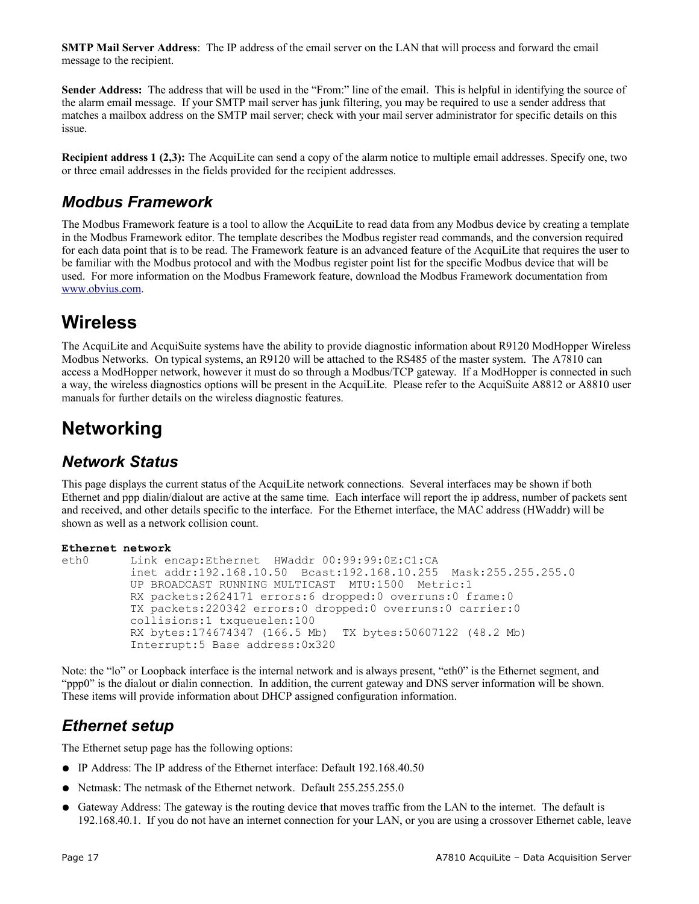**SMTP Mail Server Address**: The IP address of the email server on the LAN that will process and forward the email message to the recipient.

**Sender Address:** The address that will be used in the "From:" line of the email. This is helpful in identifying the source of the alarm email message. If your SMTP mail server has junk filtering, you may be required to use a sender address that matches a mailbox address on the SMTP mail server; check with your mail server administrator for specific details on this issue.

**Recipient address 1 (2,3):** The AcquiLite can send a copy of the alarm notice to multiple email addresses. Specify one, two or three email addresses in the fields provided for the recipient addresses.

#### *Modbus Framework*

The Modbus Framework feature is a tool to allow the AcquiLite to read data from any Modbus device by creating a template in the Modbus Framework editor. The template describes the Modbus register read commands, and the conversion required for each data point that is to be read. The Framework feature is an advanced feature of the AcquiLite that requires the user to be familiar with the Modbus protocol and with the Modbus register point list for the specific Modbus device that will be used. For more information on the Modbus Framework feature, download the Modbus Framework documentation from [www.obvius.com.](http://www.obvius.com/)

## **Wireless**

The AcquiLite and AcquiSuite systems have the ability to provide diagnostic information about R9120 ModHopper Wireless Modbus Networks. On typical systems, an R9120 will be attached to the RS485 of the master system. The A7810 can access a ModHopper network, however it must do so through a Modbus/TCP gateway. If a ModHopper is connected in such a way, the wireless diagnostics options will be present in the AcquiLite. Please refer to the AcquiSuite A8812 or A8810 user manuals for further details on the wireless diagnostic features.

## **Networking**

#### *Network Status*

This page displays the current status of the AcquiLite network connections. Several interfaces may be shown if both Ethernet and ppp dialin/dialout are active at the same time. Each interface will report the ip address, number of packets sent and received, and other details specific to the interface. For the Ethernet interface, the MAC address (HWaddr) will be shown as well as a network collision count.

#### **Ethernet network**

```
eth0 Link encap:Ethernet HWaddr 00:99:99:0E:C1:CA 
           inet addr:192.168.10.50 Bcast:192.168.10.255 Mask:255.255.255.0
           UP BROADCAST RUNNING MULTICAST MTU:1500 Metric:1
           RX packets:2624171 errors:6 dropped:0 overruns:0 frame:0
           TX packets:220342 errors:0 dropped:0 overruns:0 carrier:0
           collisions:1 txqueuelen:100 
           RX bytes:174674347 (166.5 Mb) TX bytes:50607122 (48.2 Mb)
           Interrupt:5 Base address:0x320
```
Note: the "lo" or Loopback interface is the internal network and is always present, "eth0" is the Ethernet segment, and "ppp0" is the dialout or dialin connection. In addition, the current gateway and DNS server information will be shown. These items will provide information about DHCP assigned configuration information.

#### *Ethernet setup*

The Ethernet setup page has the following options:

- IP Address: The IP address of the Ethernet interface: Default 192.168.40.50
- Netmask: The netmask of the Ethernet network. Default 255.255.255.0
- Gateway Address: The gateway is the routing device that moves traffic from the LAN to the internet. The default is 192.168.40.1. If you do not have an internet connection for your LAN, or you are using a crossover Ethernet cable, leave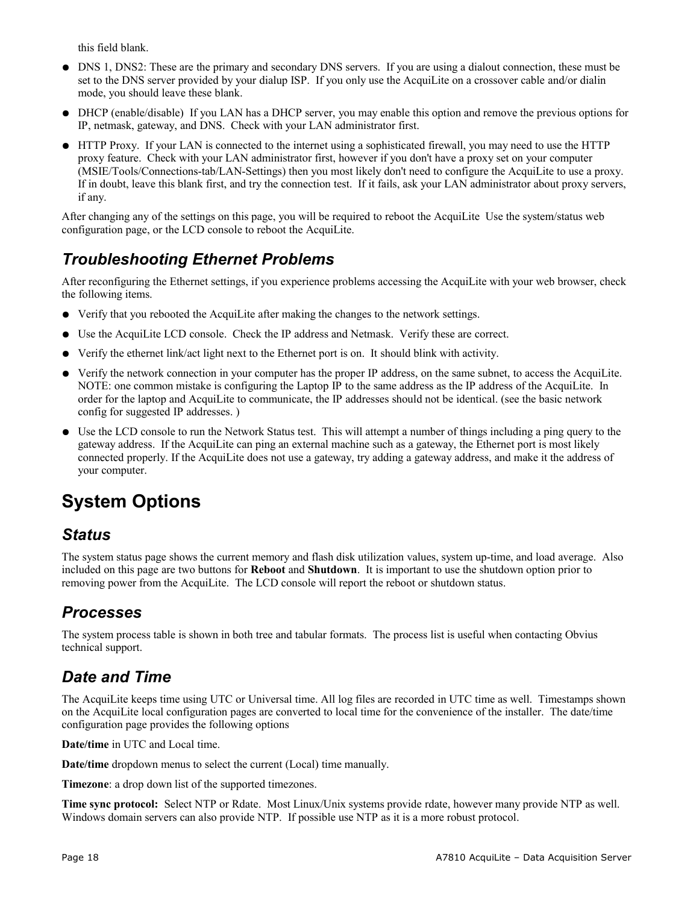this field blank.

- DNS 1, DNS2: These are the primary and secondary DNS servers. If you are using a dialout connection, these must be set to the DNS server provided by your dialup ISP. If you only use the AcquiLite on a crossover cable and/or dialin mode, you should leave these blank.
- DHCP (enable/disable) If you LAN has a DHCP server, you may enable this option and remove the previous options for IP, netmask, gateway, and DNS. Check with your LAN administrator first.
- HTTP Proxy. If your LAN is connected to the internet using a sophisticated firewall, you may need to use the HTTP proxy feature. Check with your LAN administrator first, however if you don't have a proxy set on your computer (MSIE/Tools/Connections-tab/LAN-Settings) then you most likely don't need to configure the AcquiLite to use a proxy. If in doubt, leave this blank first, and try the connection test. If it fails, ask your LAN administrator about proxy servers, if any.

After changing any of the settings on this page, you will be required to reboot the AcquiLite Use the system/status web configuration page, or the LCD console to reboot the AcquiLite.

### *Troubleshooting Ethernet Problems*

After reconfiguring the Ethernet settings, if you experience problems accessing the AcquiLite with your web browser, check the following items.

- Verify that you rebooted the AcquiLite after making the changes to the network settings.
- Use the AcquiLite LCD console. Check the IP address and Netmask. Verify these are correct.
- Verify the ethernet link/act light next to the Ethernet port is on. It should blink with activity.
- Verify the network connection in your computer has the proper IP address, on the same subnet, to access the AcquiLite. NOTE: one common mistake is configuring the Laptop IP to the same address as the IP address of the AcquiLite. In order for the laptop and AcquiLite to communicate, the IP addresses should not be identical. (see the basic network config for suggested IP addresses. )
- Use the LCD console to run the Network Status test. This will attempt a number of things including a ping query to the gateway address. If the AcquiLite can ping an external machine such as a gateway, the Ethernet port is most likely connected properly. If the AcquiLite does not use a gateway, try adding a gateway address, and make it the address of your computer.

# **System Options**

#### *Status*

The system status page shows the current memory and flash disk utilization values, system up-time, and load average. Also included on this page are two buttons for **Reboot** and **Shutdown**. It is important to use the shutdown option prior to removing power from the AcquiLite. The LCD console will report the reboot or shutdown status.

#### *Processes*

The system process table is shown in both tree and tabular formats. The process list is useful when contacting Obvius technical support.

#### *Date and Time*

The AcquiLite keeps time using UTC or Universal time. All log files are recorded in UTC time as well. Timestamps shown on the AcquiLite local configuration pages are converted to local time for the convenience of the installer. The date/time configuration page provides the following options

**Date/time** in UTC and Local time.

**Date/time** dropdown menus to select the current (Local) time manually.

**Timezone**: a drop down list of the supported timezones.

**Time sync protocol:** Select NTP or Rdate. Most Linux/Unix systems provide rdate, however many provide NTP as well. Windows domain servers can also provide NTP. If possible use NTP as it is a more robust protocol.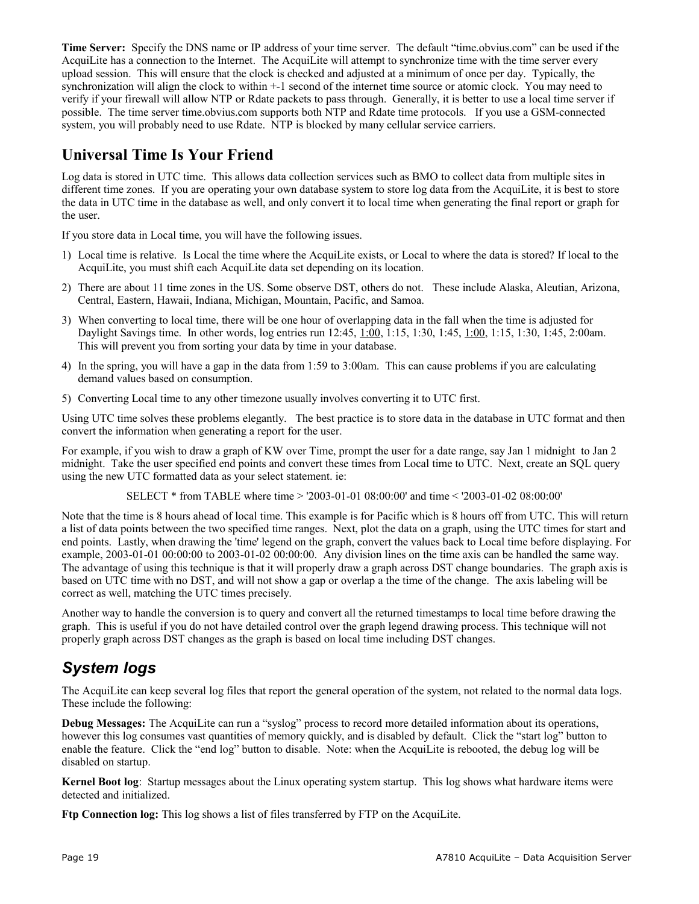**Time Server:** Specify the DNS name or IP address of your time server. The default "time.obvius.com" can be used if the AcquiLite has a connection to the Internet. The AcquiLite will attempt to synchronize time with the time server every upload session. This will ensure that the clock is checked and adjusted at a minimum of once per day. Typically, the synchronization will align the clock to within +-1 second of the internet time source or atomic clock. You may need to verify if your firewall will allow NTP or Rdate packets to pass through. Generally, it is better to use a local time server if possible. The time server time.obvius.com supports both NTP and Rdate time protocols. If you use a GSM-connected system, you will probably need to use Rdate. NTP is blocked by many cellular service carriers.

#### **Universal Time Is Your Friend**

Log data is stored in UTC time. This allows data collection services such as BMO to collect data from multiple sites in different time zones. If you are operating your own database system to store log data from the AcquiLite, it is best to store the data in UTC time in the database as well, and only convert it to local time when generating the final report or graph for the user.

If you store data in Local time, you will have the following issues.

- 1) Local time is relative. Is Local the time where the AcquiLite exists, or Local to where the data is stored? If local to the AcquiLite, you must shift each AcquiLite data set depending on its location.
- 2) There are about 11 time zones in the US. Some observe DST, others do not. These include Alaska, Aleutian, Arizona, Central, Eastern, Hawaii, Indiana, Michigan, Mountain, Pacific, and Samoa.
- 3) When converting to local time, there will be one hour of overlapping data in the fall when the time is adjusted for Daylight Savings time. In other words, log entries run 12:45, 1:00, 1:15, 1:30, 1:45, 1:00, 1:15, 1:30, 1:45, 2:00am. This will prevent you from sorting your data by time in your database.
- 4) In the spring, you will have a gap in the data from 1:59 to 3:00am. This can cause problems if you are calculating demand values based on consumption.
- 5) Converting Local time to any other timezone usually involves converting it to UTC first.

Using UTC time solves these problems elegantly. The best practice is to store data in the database in UTC format and then convert the information when generating a report for the user.

For example, if you wish to draw a graph of KW over Time, prompt the user for a date range, say Jan 1 midnight to Jan 2 midnight. Take the user specified end points and convert these times from Local time to UTC. Next, create an SQL query using the new UTC formatted data as your select statement. ie:

SELECT \* from TABLE where time > '2003-01-01 08:00:00' and time < '2003-01-02 08:00:00'

Note that the time is 8 hours ahead of local time. This example is for Pacific which is 8 hours off from UTC. This will return a list of data points between the two specified time ranges. Next, plot the data on a graph, using the UTC times for start and end points. Lastly, when drawing the 'time' legend on the graph, convert the values back to Local time before displaying. For example,  $2003-01-01\ 00:00:00$  to  $2003-01-02\ 00:00:00$ . Any division lines on the time axis can be handled the same way. The advantage of using this technique is that it will properly draw a graph across DST change boundaries. The graph axis is based on UTC time with no DST, and will not show a gap or overlap a the time of the change. The axis labeling will be correct as well, matching the UTC times precisely.

Another way to handle the conversion is to query and convert all the returned timestamps to local time before drawing the graph. This is useful if you do not have detailed control over the graph legend drawing process. This technique will not properly graph across DST changes as the graph is based on local time including DST changes.

## *System logs*

The AcquiLite can keep several log files that report the general operation of the system, not related to the normal data logs. These include the following:

**Debug Messages:** The AcquiLite can run a "syslog" process to record more detailed information about its operations, however this log consumes vast quantities of memory quickly, and is disabled by default. Click the "start log" button to enable the feature. Click the "end log" button to disable. Note: when the AcquiLite is rebooted, the debug log will be disabled on startup.

**Kernel Boot log**: Startup messages about the Linux operating system startup. This log shows what hardware items were detected and initialized.

**Ftp Connection log:** This log shows a list of files transferred by FTP on the AcquiLite.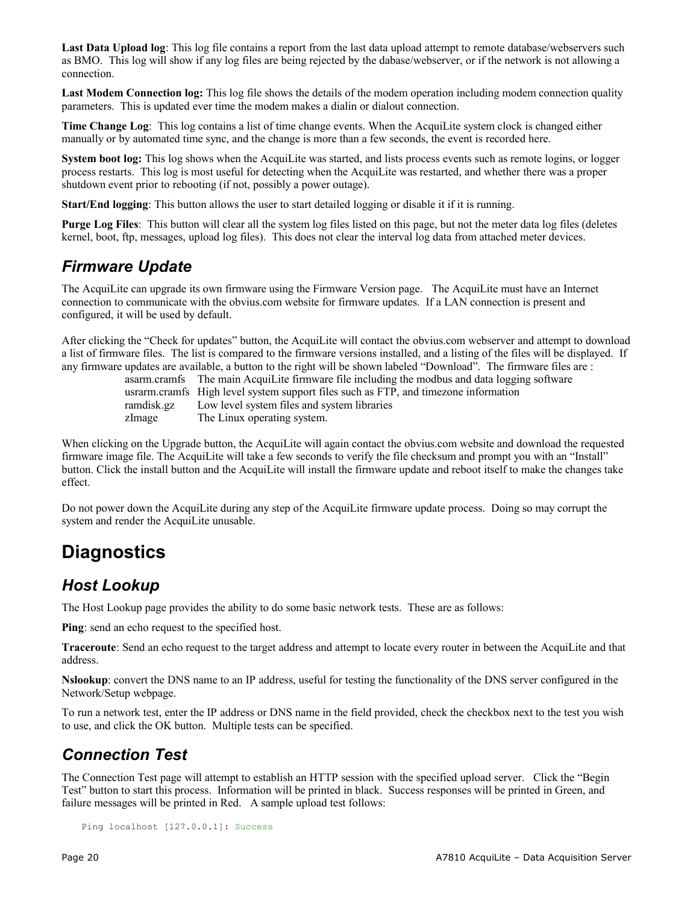Last Data Upload log: This log file contains a report from the last data upload attempt to remote database/webservers such as BMO. This log will show if any log files are being rejected by the dabase/webserver, or if the network is not allowing a connection.

**Last Modem Connection log:** This log file shows the details of the modem operation including modem connection quality parameters. This is updated ever time the modem makes a dialin or dialout connection.

**Time Change Log**: This log contains a list of time change events. When the AcquiLite system clock is changed either manually or by automated time sync, and the change is more than a few seconds, the event is recorded here.

**System boot log:** This log shows when the AcquiLite was started, and lists process events such as remote logins, or logger process restarts. This log is most useful for detecting when the AcquiLite was restarted, and whether there was a proper shutdown event prior to rebooting (if not, possibly a power outage).

**Start/End logging**: This button allows the user to start detailed logging or disable it if it is running.

**Purge Log Files**: This button will clear all the system log files listed on this page, but not the meter data log files (deletes kernel, boot, ftp, messages, upload log files). This does not clear the interval log data from attached meter devices.

#### *Firmware Update*

The AcquiLite can upgrade its own firmware using the Firmware Version page. The AcquiLite must have an Internet connection to communicate with the obvius.com website for firmware updates. If a LAN connection is present and configured, it will be used by default.

After clicking the "Check for updates" button, the AcquiLite will contact the obvius.com webserver and attempt to download a list of firmware files. The list is compared to the firmware versions installed, and a listing of the files will be displayed. If any firmware updates are available, a button to the right will be shown labeled "Download". The firmware files are :

asarm.cramfs The main AcquiLite firmware file including the modbus and data logging software

usrarm.cramfs High level system support files such as FTP, and timezone information

ramdisk.gz Low level system files and system libraries

zImage The Linux operating system.

When clicking on the Upgrade button, the AcquiLite will again contact the obvius.com website and download the requested firmware image file. The AcquiLite will take a few seconds to verify the file checksum and prompt you with an "Install" button. Click the install button and the AcquiLite will install the firmware update and reboot itself to make the changes take effect.

Do not power down the AcquiLite during any step of the AcquiLite firmware update process. Doing so may corrupt the system and render the AcquiLite unusable.

## **Diagnostics**

#### *Host Lookup*

The Host Lookup page provides the ability to do some basic network tests. These are as follows:

**Ping**: send an echo request to the specified host.

**Traceroute**: Send an echo request to the target address and attempt to locate every router in between the AcquiLite and that address.

**Nslookup**: convert the DNS name to an IP address, useful for testing the functionality of the DNS server configured in the Network/Setup webpage.

To run a network test, enter the IP address or DNS name in the field provided, check the checkbox next to the test you wish to use, and click the OK button. Multiple tests can be specified.

#### *Connection Test*

The Connection Test page will attempt to establish an HTTP session with the specified upload server. Click the "Begin Test" button to start this process. Information will be printed in black. Success responses will be printed in Green, and failure messages will be printed in Red. A sample upload test follows:

```
Ping localhost [127.0.0.1]: Success
```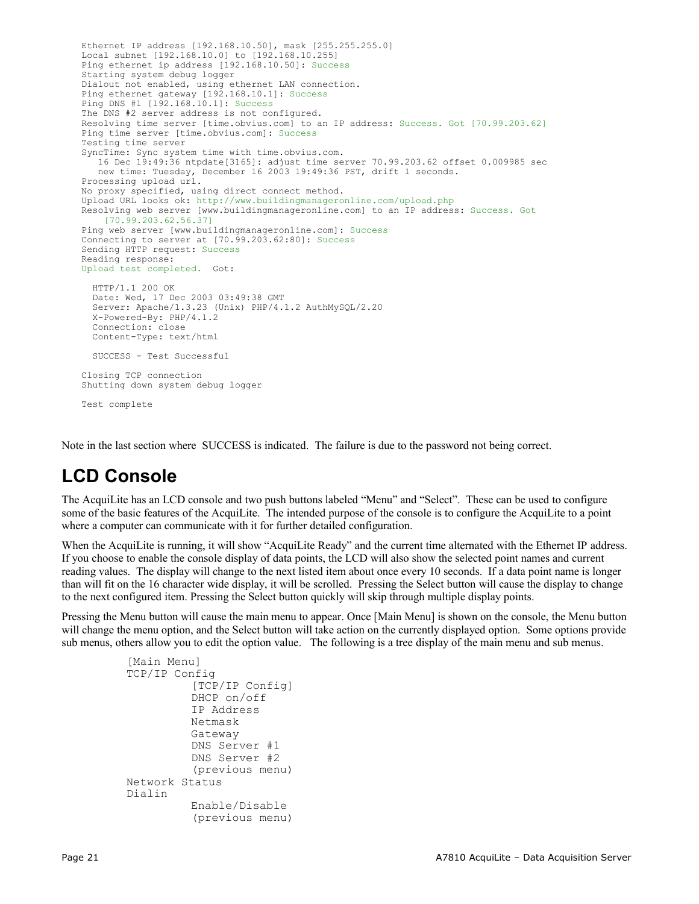```
Ethernet IP address [192.168.10.50], mask [255.255.255.0]
Local subnet [192.168.10.0] to [192.168.10.255]
Ping ethernet ip address [192.168.10.50]: Success
Starting system debug logger
Dialout not enabled, using ethernet LAN connection.
Ping ethernet gateway [192.168.10.1]: Success
Ping DNS #1 [192.168.10.1]: Success
The DNS #2 server address is not configured.
Resolving time server [time.obvius.com] to an IP address: Success. Got [70.99.203.62]
Ping time server [time.obvius.com]: Success
Testing time server
SyncTime: Sync system time with time.obvius.com.
    16 Dec 19:49:36 ntpdate[3165]: adjust time server 70.99.203.62 offset 0.009985 sec
    new time: Tuesday, December 16 2003 19:49:36 PST, drift 1 seconds.
Processing upload url.
No proxy specified, using direct connect method.
Upload URL looks ok: http://www.buildingmanageronline.com/upload.php
Resolving web server [www.buildingmanageronline.com] to an IP address: Success. Got
    [70.99.203.62.56.37]
Ping web server [www.buildingmanageronline.com]: Success
Connecting to server at [70.99.203.62:80]: Success 
Sending HTTP request: Success 
Reading response:
Upload test completed. Got:
   HTTP/1.1 200 OK
   Date: Wed, 17 Dec 2003 03:49:38 GMT
   Server: Apache/1.3.23 (Unix) PHP/4.1.2 AuthMySQL/2.20
   X-Powered-By: PHP/4.1.2
   Connection: close
   Content-Type: text/html
   SUCCESS - Test Successful
Closing TCP connection
Shutting down system debug logger
Test complete
```
Note in the last section where SUCCESS is indicated. The failure is due to the password not being correct.

## **LCD Console**

The AcquiLite has an LCD console and two push buttons labeled "Menu" and "Select". These can be used to configure some of the basic features of the AcquiLite. The intended purpose of the console is to configure the AcquiLite to a point where a computer can communicate with it for further detailed configuration.

When the AcquiLite is running, it will show "AcquiLite Ready" and the current time alternated with the Ethernet IP address. If you choose to enable the console display of data points, the LCD will also show the selected point names and current reading values. The display will change to the next listed item about once every 10 seconds. If a data point name is longer than will fit on the 16 character wide display, it will be scrolled. Pressing the Select button will cause the display to change to the next configured item. Pressing the Select button quickly will skip through multiple display points.

Pressing the Menu button will cause the main menu to appear. Once [Main Menu] is shown on the console, the Menu button will change the menu option, and the Select button will take action on the currently displayed option. Some options provide sub menus, others allow you to edit the option value. The following is a tree display of the main menu and sub menus.

```
[Main Menu]
TCP/IP Config
         [TCP/IP Config]
         DHCP on/off
         IP Address
         Netmask
         Gateway
         DNS Server #1
         DNS Server #2
          (previous menu)
Network Status
Dialin
         Enable/Disable
          (previous menu)
```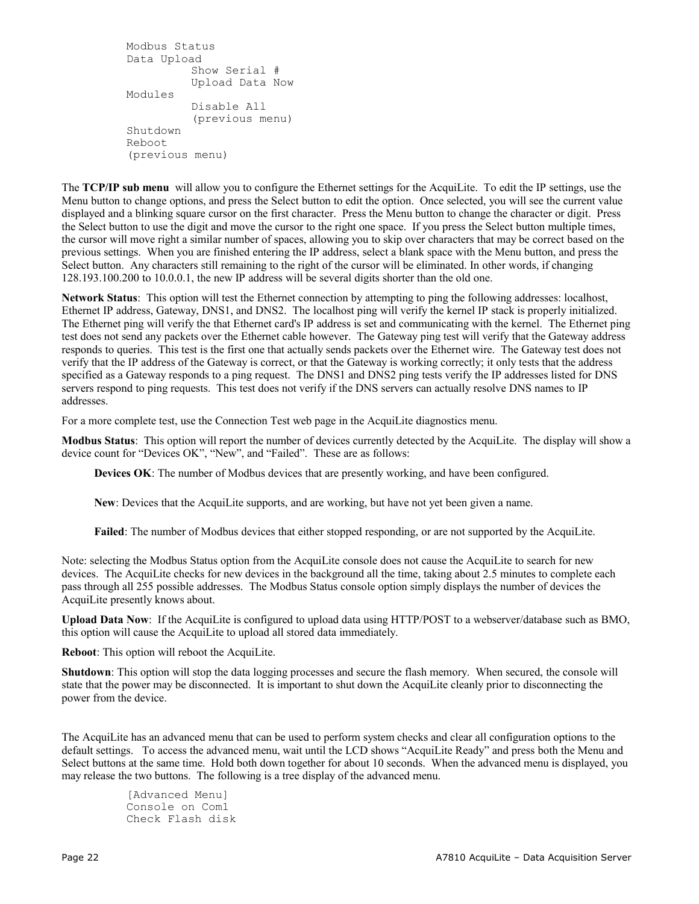```
Modbus Status
Data Upload
          Show Serial #
          Upload Data Now
Modules
          Disable All
          (previous menu)
Shutdown
Reboot
(previous menu)
```
The **TCP/IP sub menu** will allow you to configure the Ethernet settings for the AcquiLite. To edit the IP settings, use the Menu button to change options, and press the Select button to edit the option. Once selected, you will see the current value displayed and a blinking square cursor on the first character. Press the Menu button to change the character or digit. Press the Select button to use the digit and move the cursor to the right one space. If you press the Select button multiple times, the cursor will move right a similar number of spaces, allowing you to skip over characters that may be correct based on the previous settings. When you are finished entering the IP address, select a blank space with the Menu button, and press the Select button. Any characters still remaining to the right of the cursor will be eliminated. In other words, if changing 128.193.100.200 to 10.0.0.1, the new IP address will be several digits shorter than the old one.

**Network Status**: This option will test the Ethernet connection by attempting to ping the following addresses: localhost, Ethernet IP address, Gateway, DNS1, and DNS2. The localhost ping will verify the kernel IP stack is properly initialized. The Ethernet ping will verify the that Ethernet card's IP address is set and communicating with the kernel. The Ethernet ping test does not send any packets over the Ethernet cable however. The Gateway ping test will verify that the Gateway address responds to queries. This test is the first one that actually sends packets over the Ethernet wire. The Gateway test does not verify that the IP address of the Gateway is correct, or that the Gateway is working correctly; it only tests that the address specified as a Gateway responds to a ping request. The DNS1 and DNS2 ping tests verify the IP addresses listed for DNS servers respond to ping requests. This test does not verify if the DNS servers can actually resolve DNS names to IP addresses.

For a more complete test, use the Connection Test web page in the AcquiLite diagnostics menu.

**Modbus Status**: This option will report the number of devices currently detected by the AcquiLite. The display will show a device count for "Devices OK", "New", and "Failed". These are as follows:

**Devices OK**: The number of Modbus devices that are presently working, and have been configured.

**New**: Devices that the AcquiLite supports, and are working, but have not yet been given a name.

**Failed**: The number of Modbus devices that either stopped responding, or are not supported by the AcquiLite.

Note: selecting the Modbus Status option from the AcquiLite console does not cause the AcquiLite to search for new devices. The AcquiLite checks for new devices in the background all the time, taking about 2.5 minutes to complete each pass through all 255 possible addresses. The Modbus Status console option simply displays the number of devices the AcquiLite presently knows about.

**Upload Data Now**: If the AcquiLite is configured to upload data using HTTP/POST to a webserver/database such as BMO, this option will cause the AcquiLite to upload all stored data immediately.

**Reboot**: This option will reboot the AcquiLite.

**Shutdown**: This option will stop the data logging processes and secure the flash memory. When secured, the console will state that the power may be disconnected. It is important to shut down the AcquiLite cleanly prior to disconnecting the power from the device.

The AcquiLite has an advanced menu that can be used to perform system checks and clear all configuration options to the default settings. To access the advanced menu, wait until the LCD shows "AcquiLite Ready" and press both the Menu and Select buttons at the same time. Hold both down together for about 10 seconds. When the advanced menu is displayed, you may release the two buttons. The following is a tree display of the advanced menu.

> [Advanced Menu] Console on Com1 Check Flash disk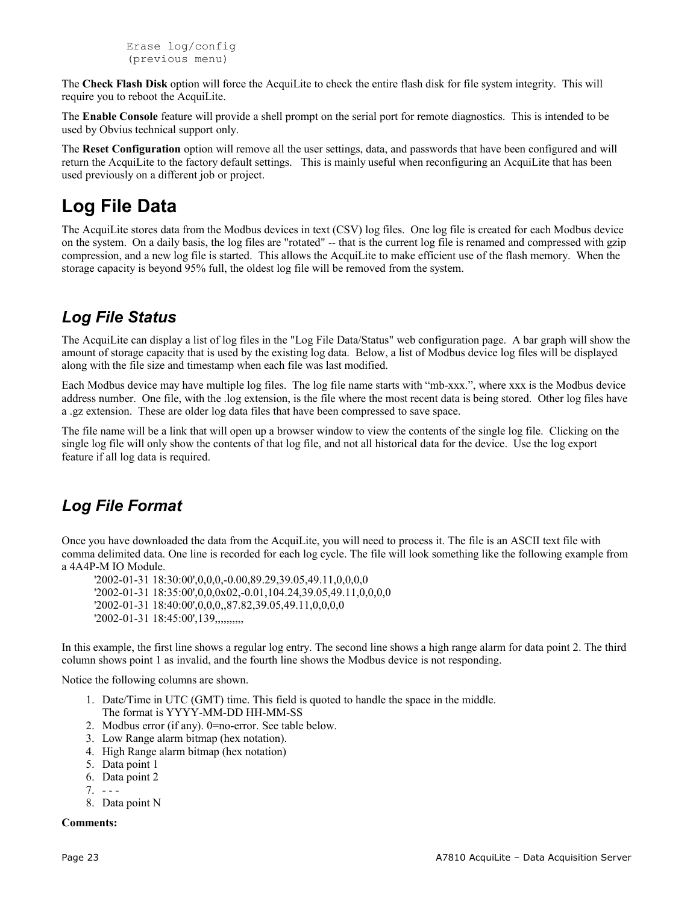```
Erase log/config
(previous menu)
```
The **Check Flash Disk** option will force the AcquiLite to check the entire flash disk for file system integrity. This will require you to reboot the AcquiLite.

The **Enable Console** feature will provide a shell prompt on the serial port for remote diagnostics. This is intended to be used by Obvius technical support only.

The **Reset Configuration** option will remove all the user settings, data, and passwords that have been configured and will return the AcquiLite to the factory default settings. This is mainly useful when reconfiguring an AcquiLite that has been used previously on a different job or project.

## **Log File Data**

The AcquiLite stores data from the Modbus devices in text (CSV) log files. One log file is created for each Modbus device on the system. On a daily basis, the log files are "rotated" -- that is the current log file is renamed and compressed with gzip compression, and a new log file is started. This allows the AcquiLite to make efficient use of the flash memory. When the storage capacity is beyond 95% full, the oldest log file will be removed from the system.

### *Log File Status*

The AcquiLite can display a list of log files in the "Log File Data/Status" web configuration page. A bar graph will show the amount of storage capacity that is used by the existing log data. Below, a list of Modbus device log files will be displayed along with the file size and timestamp when each file was last modified.

Each Modbus device may have multiple log files. The log file name starts with "mb-xxx.", where xxx is the Modbus device address number. One file, with the .log extension, is the file where the most recent data is being stored. Other log files have a .gz extension. These are older log data files that have been compressed to save space.

The file name will be a link that will open up a browser window to view the contents of the single log file. Clicking on the single log file will only show the contents of that log file, and not all historical data for the device. Use the log export feature if all log data is required.

#### *Log File Format*

Once you have downloaded the data from the AcquiLite, you will need to process it. The file is an ASCII text file with comma delimited data. One line is recorded for each log cycle. The file will look something like the following example from a 4A4P-M IO Module.

'2002-01-31 18:30:00',0,0,0,-0.00,89.29,39.05,49.11,0,0,0,0 '2002-01-31 18:35:00',0,0,0x02,-0.01,104.24,39.05,49.11,0,0,0,0 '2002-01-31 18:40:00',0,0,0,,87.82,39.05,49.11,0,0,0,0 '2002-01-31 18:45:00',139,,,,,,,,,,

In this example, the first line shows a regular log entry. The second line shows a high range alarm for data point 2. The third column shows point 1 as invalid, and the fourth line shows the Modbus device is not responding.

Notice the following columns are shown.

- 1. Date/Time in UTC (GMT) time. This field is quoted to handle the space in the middle. The format is YYYY-MM-DD HH-MM-SS
- 2. Modbus error (if any). 0=no-error. See table below.
- 3. Low Range alarm bitmap (hex notation).
- 4. High Range alarm bitmap (hex notation)
- 5. Data point 1
- 6. Data point 2
- $7. - -$
- 8. Data point N

#### **Comments:**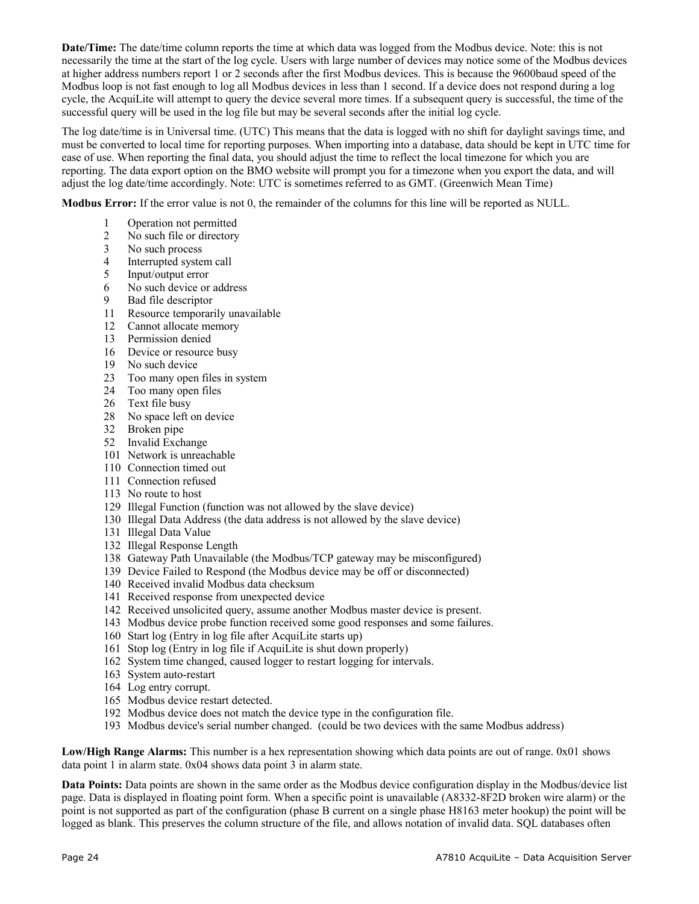**Date/Time:** The date/time column reports the time at which data was logged from the Modbus device. Note: this is not necessarily the time at the start of the log cycle. Users with large number of devices may notice some of the Modbus devices at higher address numbers report 1 or 2 seconds after the first Modbus devices. This is because the 9600baud speed of the Modbus loop is not fast enough to log all Modbus devices in less than 1 second. If a device does not respond during a log cycle, the AcquiLite will attempt to query the device several more times. If a subsequent query is successful, the time of the successful query will be used in the log file but may be several seconds after the initial log cycle.

The log date/time is in Universal time. (UTC) This means that the data is logged with no shift for daylight savings time, and must be converted to local time for reporting purposes. When importing into a database, data should be kept in UTC time for ease of use. When reporting the final data, you should adjust the time to reflect the local timezone for which you are reporting. The data export option on the BMO website will prompt you for a timezone when you export the data, and will adjust the log date/time accordingly. Note: UTC is sometimes referred to as GMT. (Greenwich Mean Time)

**Modbus Error:** If the error value is not 0, the remainder of the columns for this line will be reported as NULL.

- Operation not permitted
- No such file or directory
- No such process
- Interrupted system call
- Input/output error
- No such device or address
- Bad file descriptor
- Resource temporarily unavailable
- Cannot allocate memory
- Permission denied
- Device or resource busy
- No such device
- Too many open files in system
- Too many open files
- 26 Text file busy
- No space left on device
- Broken pipe
- Invalid Exchange
- Network is unreachable
- Connection timed out
- Connection refused
- No route to host
- Illegal Function (function was not allowed by the slave device)
- Illegal Data Address (the data address is not allowed by the slave device)
- Illegal Data Value
- Illegal Response Length
- Gateway Path Unavailable (the Modbus/TCP gateway may be misconfigured)
- Device Failed to Respond (the Modbus device may be off or disconnected)
- Received invalid Modbus data checksum
- Received response from unexpected device
- Received unsolicited query, assume another Modbus master device is present.
- Modbus device probe function received some good responses and some failures.
- Start log (Entry in log file after AcquiLite starts up)
- Stop log (Entry in log file if AcquiLite is shut down properly)
- System time changed, caused logger to restart logging for intervals.
- System auto-restart
- Log entry corrupt.
- Modbus device restart detected.
- Modbus device does not match the device type in the configuration file.
- Modbus device's serial number changed. (could be two devices with the same Modbus address)

**Low/High Range Alarms:** This number is a hex representation showing which data points are out of range. 0x01 shows data point 1 in alarm state. 0x04 shows data point 3 in alarm state.

**Data Points:** Data points are shown in the same order as the Modbus device configuration display in the Modbus/device list page. Data is displayed in floating point form. When a specific point is unavailable (A8332-8F2D broken wire alarm) or the point is not supported as part of the configuration (phase B current on a single phase H8163 meter hookup) the point will be logged as blank. This preserves the column structure of the file, and allows notation of invalid data. SQL databases often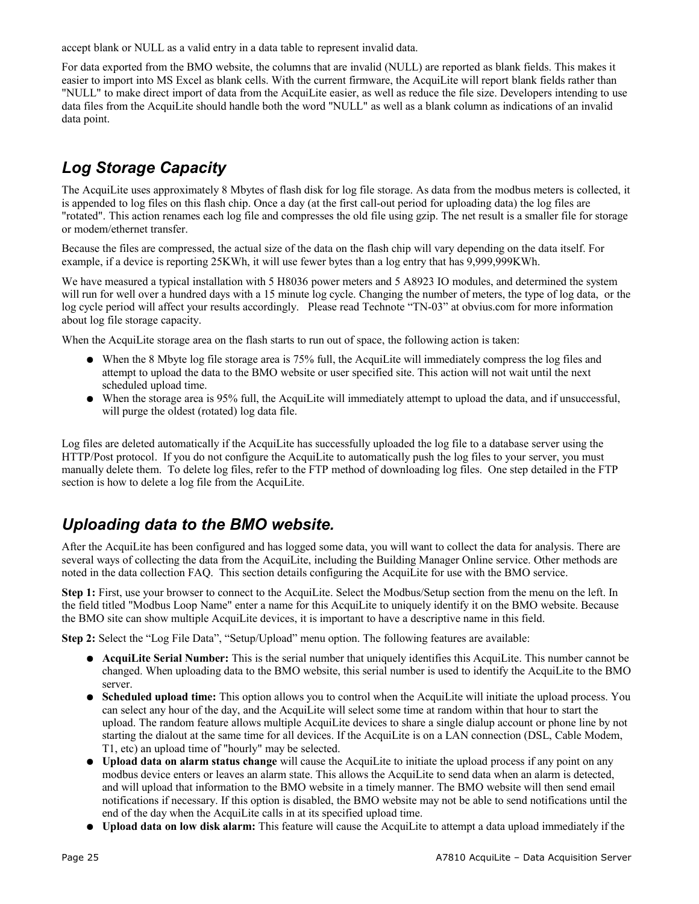accept blank or NULL as a valid entry in a data table to represent invalid data.

For data exported from the BMO website, the columns that are invalid (NULL) are reported as blank fields. This makes it easier to import into MS Excel as blank cells. With the current firmware, the AcquiLite will report blank fields rather than "NULL" to make direct import of data from the AcquiLite easier, as well as reduce the file size. Developers intending to use data files from the AcquiLite should handle both the word "NULL" as well as a blank column as indications of an invalid data point.

## *Log Storage Capacity*

The AcquiLite uses approximately 8 Mbytes of flash disk for log file storage. As data from the modbus meters is collected, it is appended to log files on this flash chip. Once a day (at the first call-out period for uploading data) the log files are "rotated". This action renames each log file and compresses the old file using gzip. The net result is a smaller file for storage or modem/ethernet transfer.

Because the files are compressed, the actual size of the data on the flash chip will vary depending on the data itself. For example, if a device is reporting 25KWh, it will use fewer bytes than a log entry that has 9,999,999KWh.

We have measured a typical installation with 5 H8036 power meters and 5 A8923 IO modules, and determined the system will run for well over a hundred days with a 15 minute log cycle. Changing the number of meters, the type of log data, or the log cycle period will affect your results accordingly. Please read Technote "TN-03" at obvius.com for more information about log file storage capacity.

When the AcquiLite storage area on the flash starts to run out of space, the following action is taken:

- When the 8 Mbyte log file storage area is 75% full, the AcquiLite will immediately compress the log files and attempt to upload the data to the BMO website or user specified site. This action will not wait until the next scheduled upload time.
- When the storage area is 95% full, the AcquiLite will immediately attempt to upload the data, and if unsuccessful, will purge the oldest (rotated) log data file.

Log files are deleted automatically if the AcquiLite has successfully uploaded the log file to a database server using the HTTP/Post protocol. If you do not configure the AcquiLite to automatically push the log files to your server, you must manually delete them. To delete log files, refer to the FTP method of downloading log files. One step detailed in the FTP section is how to delete a log file from the AcquiLite.

#### *Uploading data to the BMO website.*

After the AcquiLite has been configured and has logged some data, you will want to collect the data for analysis. There are several ways of collecting the data from the AcquiLite, including the Building Manager Online service. Other methods are noted in the data collection FAQ. This section details configuring the AcquiLite for use with the BMO service.

**Step 1:** First, use your browser to connect to the AcquiLite. Select the Modbus/Setup section from the menu on the left. In the field titled "Modbus Loop Name" enter a name for this AcquiLite to uniquely identify it on the BMO website. Because the BMO site can show multiple AcquiLite devices, it is important to have a descriptive name in this field.

**Step 2:** Select the "Log File Data", "Setup/Upload" menu option. The following features are available:

- **AcquiLite Serial Number:** This is the serial number that uniquely identifies this AcquiLite. This number cannot be changed. When uploading data to the BMO website, this serial number is used to identify the AcquiLite to the BMO server.
- **Scheduled upload time:** This option allows you to control when the AcquiLite will initiate the upload process. You can select any hour of the day, and the AcquiLite will select some time at random within that hour to start the upload. The random feature allows multiple AcquiLite devices to share a single dialup account or phone line by not starting the dialout at the same time for all devices. If the AcquiLite is on a LAN connection (DSL, Cable Modem, T1, etc) an upload time of "hourly" may be selected.
- **Upload data on alarm status change** will cause the AcquiLite to initiate the upload process if any point on any modbus device enters or leaves an alarm state. This allows the AcquiLite to send data when an alarm is detected, and will upload that information to the BMO website in a timely manner. The BMO website will then send email notifications if necessary. If this option is disabled, the BMO website may not be able to send notifications until the end of the day when the AcquiLite calls in at its specified upload time.
- **Upload data on low disk alarm:** This feature will cause the AcquiLite to attempt a data upload immediately if the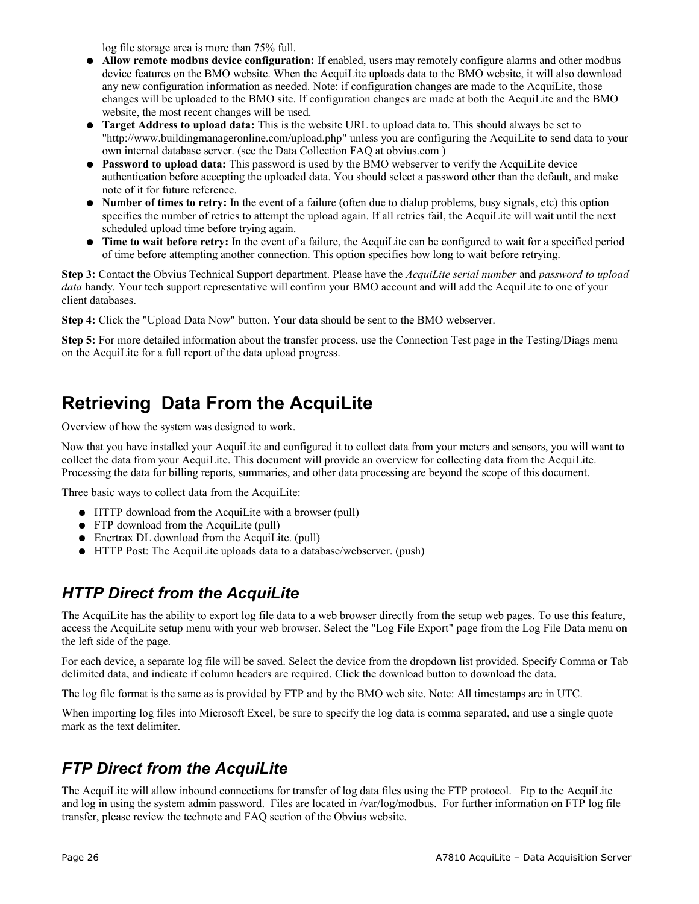log file storage area is more than 75% full.

- **Allow remote modbus device configuration:** If enabled, users may remotely configure alarms and other modbus device features on the BMO website. When the AcquiLite uploads data to the BMO website, it will also download any new configuration information as needed. Note: if configuration changes are made to the AcquiLite, those changes will be uploaded to the BMO site. If configuration changes are made at both the AcquiLite and the BMO website, the most recent changes will be used.
- **Target Address to upload data:** This is the website URL to upload data to. This should always be set to "http://www.buildingmanageronline.com/upload.php" unless you are configuring the AcquiLite to send data to your own internal database server. (see the Data Collection FAQ at obvius.com )
- **Password to upload data:** This password is used by the BMO webserver to verify the AcquiLite device authentication before accepting the uploaded data. You should select a password other than the default, and make note of it for future reference.
- **Number of times to retry:** In the event of a failure (often due to dialup problems, busy signals, etc) this option specifies the number of retries to attempt the upload again. If all retries fail, the AcquiLite will wait until the next scheduled upload time before trying again.
- **Time to wait before retry:** In the event of a failure, the AcquiLite can be configured to wait for a specified period of time before attempting another connection. This option specifies how long to wait before retrying.

**Step 3:** Contact the Obvius Technical Support department. Please have the *AcquiLite serial number* and *password to upload data* handy. Your tech support representative will confirm your BMO account and will add the AcquiLite to one of your client databases.

**Step 4:** Click the "Upload Data Now" button. Your data should be sent to the BMO webserver.

**Step 5:** For more detailed information about the transfer process, use the Connection Test page in the Testing/Diags menu on the AcquiLite for a full report of the data upload progress.

## **Retrieving Data From the AcquiLite**

Overview of how the system was designed to work.

Now that you have installed your AcquiLite and configured it to collect data from your meters and sensors, you will want to collect the data from your AcquiLite. This document will provide an overview for collecting data from the AcquiLite. Processing the data for billing reports, summaries, and other data processing are beyond the scope of this document.

Three basic ways to collect data from the AcquiLite:

- HTTP download from the AcquiLite with a browser (pull)
- FTP download from the AcquiLite (pull)
- Enertrax DL download from the AcquiLite. (pull)
- HTTP Post: The AcquiLite uploads data to a database/webserver. (push)

#### *HTTP Direct from the AcquiLite*

The AcquiLite has the ability to export log file data to a web browser directly from the setup web pages. To use this feature, access the AcquiLite setup menu with your web browser. Select the "Log File Export" page from the Log File Data menu on the left side of the page.

For each device, a separate log file will be saved. Select the device from the dropdown list provided. Specify Comma or Tab delimited data, and indicate if column headers are required. Click the download button to download the data.

The log file format is the same as is provided by FTP and by the BMO web site. Note: All timestamps are in UTC.

When importing log files into Microsoft Excel, be sure to specify the log data is comma separated, and use a single quote mark as the text delimiter.

#### *FTP Direct from the AcquiLite*

The AcquiLite will allow inbound connections for transfer of log data files using the FTP protocol. Ftp to the AcquiLite and log in using the system admin password. Files are located in /var/log/modbus. For further information on FTP log file transfer, please review the technote and FAQ section of the Obvius website.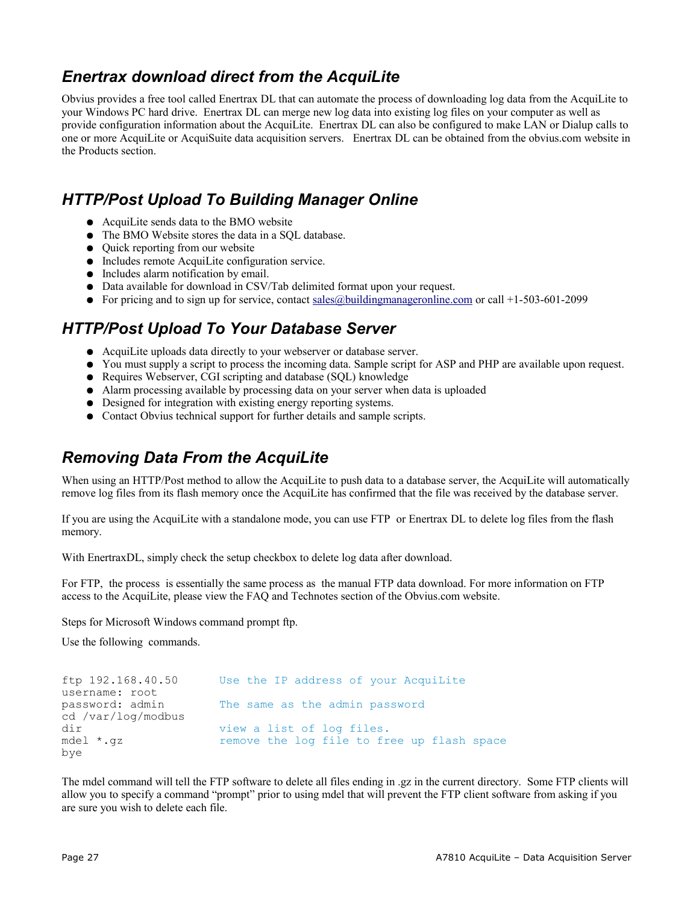#### *Enertrax download direct from the AcquiLite*

Obvius provides a free tool called Enertrax DL that can automate the process of downloading log data from the AcquiLite to your Windows PC hard drive. Enertrax DL can merge new log data into existing log files on your computer as well as provide configuration information about the AcquiLite. Enertrax DL can also be configured to make LAN or Dialup calls to one or more AcquiLite or AcquiSuite data acquisition servers. Enertrax DL can be obtained from the obvius.com website in the Products section.

#### *HTTP/Post Upload To Building Manager Online*

- AcquiLite sends data to the BMO website
- The BMO Website stores the data in a SOL database.
- Quick reporting from our website
- Includes remote AcquiLite configuration service.
- Includes alarm notification by email.
- Data available for download in CSV/Tab delimited format upon your request.
- For pricing and to sign up for service, contact [sales@buildingmanageronline.com](mailto:sales@buildingmanageronline.com) or call  $+1-503-601-2099$

#### *HTTP/Post Upload To Your Database Server*

- AcquiLite uploads data directly to your webserver or database server.
- You must supply a script to process the incoming data. Sample script for ASP and PHP are available upon request.
- Requires Webserver, CGI scripting and database (SQL) knowledge
- Alarm processing available by processing data on your server when data is uploaded
- Designed for integration with existing energy reporting systems.
- Contact Obvius technical support for further details and sample scripts.

#### *Removing Data From the AcquiLite*

When using an HTTP/Post method to allow the AcquiLite to push data to a database server, the AcquiLite will automatically remove log files from its flash memory once the AcquiLite has confirmed that the file was received by the database server.

If you are using the AcquiLite with a standalone mode, you can use FTP or Enertrax DL to delete log files from the flash memory.

With EnertraxDL, simply check the setup checkbox to delete log data after download.

For FTP, the process is essentially the same process as the manual FTP data download. For more information on FTP access to the AcquiLite, please view the FAQ and Technotes section of the Obvius.com website.

Steps for Microsoft Windows command prompt ftp.

Use the following commands.

| ftp 192.168.40.50  | Use the IP address of your Acquilite       |
|--------------------|--------------------------------------------|
| username: root     |                                            |
| password: admin    | The same as the admin password             |
| cd /var/log/modbus |                                            |
| dir                | view a list of log files.                  |
| mdel *.qz          | remove the log file to free up flash space |
| bye                |                                            |

The mdel command will tell the FTP software to delete all files ending in .gz in the current directory. Some FTP clients will allow you to specify a command "prompt" prior to using mdel that will prevent the FTP client software from asking if you are sure you wish to delete each file.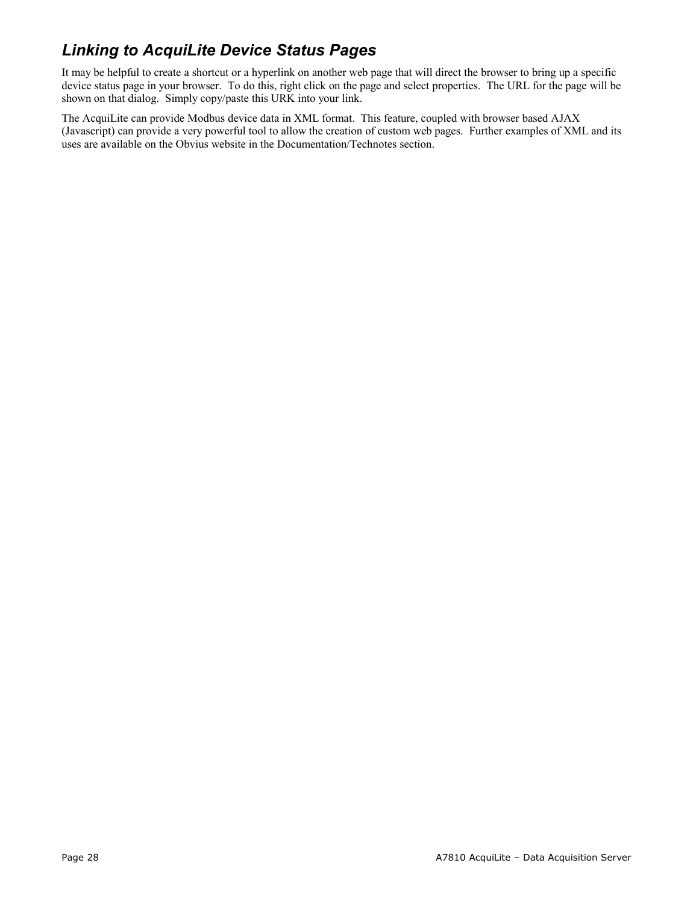## *Linking to AcquiLite Device Status Pages*

It may be helpful to create a shortcut or a hyperlink on another web page that will direct the browser to bring up a specific device status page in your browser. To do this, right click on the page and select properties. The URL for the page will be shown on that dialog. Simply copy/paste this URK into your link.

The AcquiLite can provide Modbus device data in XML format. This feature, coupled with browser based AJAX (Javascript) can provide a very powerful tool to allow the creation of custom web pages. Further examples of XML and its uses are available on the Obvius website in the Documentation/Technotes section.